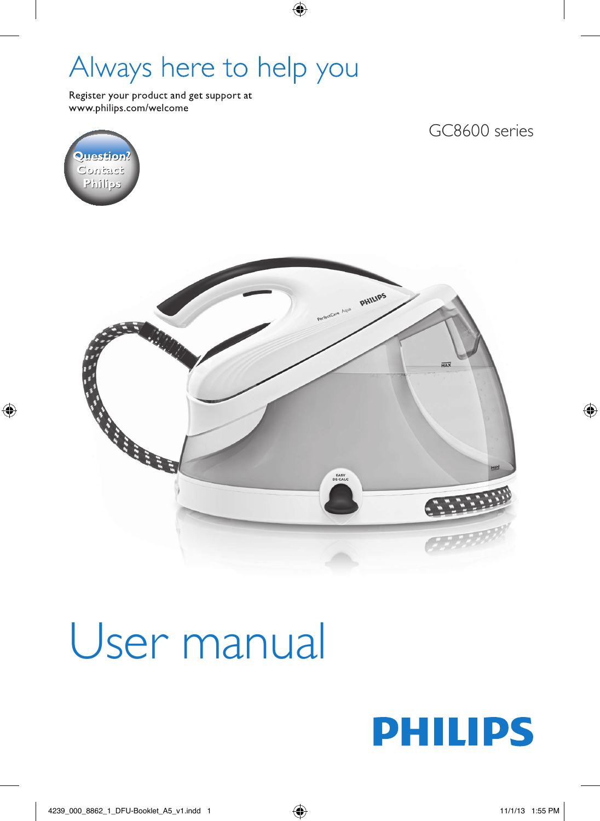## Always here to help you

Register your product and get support at www.philips.com/welcome



 $\bigoplus$ 

GC8600 series



 $\bigoplus$ 

# User manual

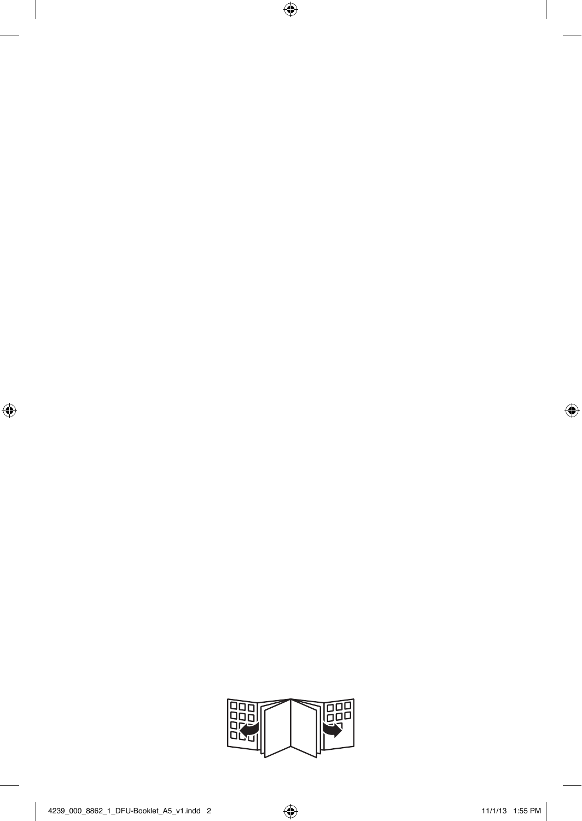

 $\bigoplus$ 

 $\overline{\phantom{a}}$ 

 $\bigoplus$ 

 $\overline{\phantom{a}}$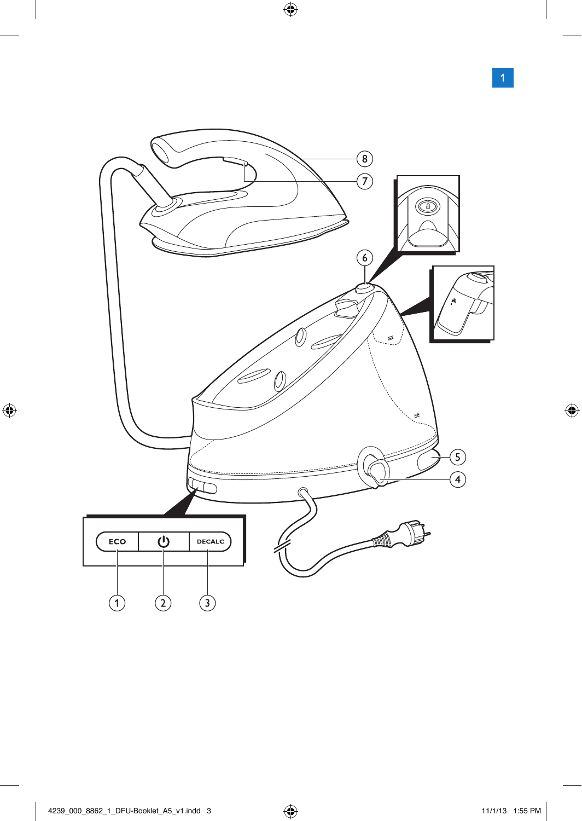

 $\bigoplus$ 

 $\bigoplus$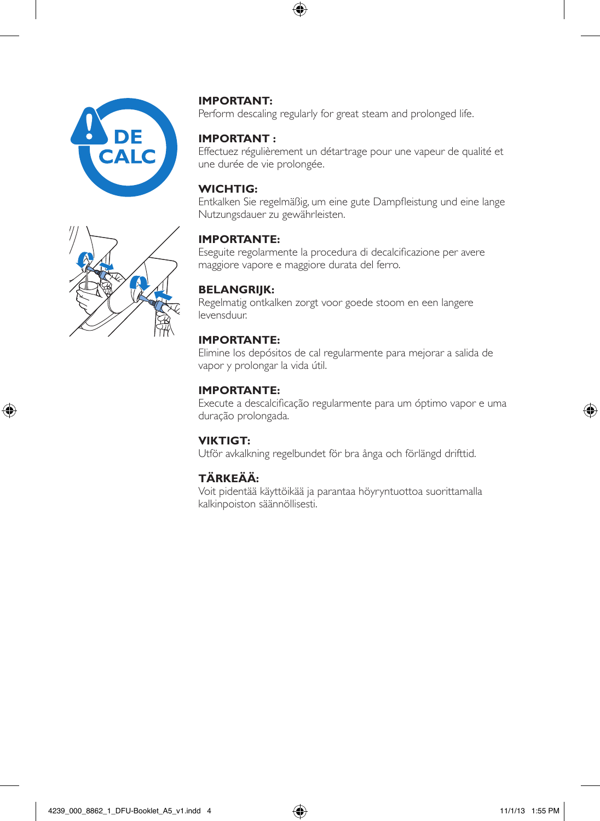

#### **IMPORTANT:**

Perform descaling regularly for great steam and prolonged life.

⊕

## **IMPORTANT :**

Effectuez régulièrement un détartrage pour une vapeur de qualité et une durée de vie prolongée.

#### **WICHTIG:**

Entkalken Sie regelmäßig, um eine gute Dampleistung und eine lange Nutzungsdauer zu gewährleisten.

#### **IMPORTANTE:**

Eseguite regolarmente la procedura di decalcificazione per avere maggiore vapore e maggiore durata del ferro.

#### **BELANGRIJK:**

Regelmatig ontkalken zorgt voor goede stoom en een langere levensduur.

#### **IMPORTANTE:**

Elimine los depósitos de cal regularmente para mejorar a salida de vapor y prolongar la vida útil.

#### **IMPORTANTE:**

Execute a descalcificação regularmente para um óptimo vapor e uma duração prolongada.

## **VIKTIGT:**

Utför avkalkning regelbundet för bra ånga och förlängd drifttid.

#### **TÄRKEÄÄ:**

Voit pidentää käyttöikää ja parantaa höyryntuottoa suorittamalla kalkinpoiston säännöllisesti.



⊕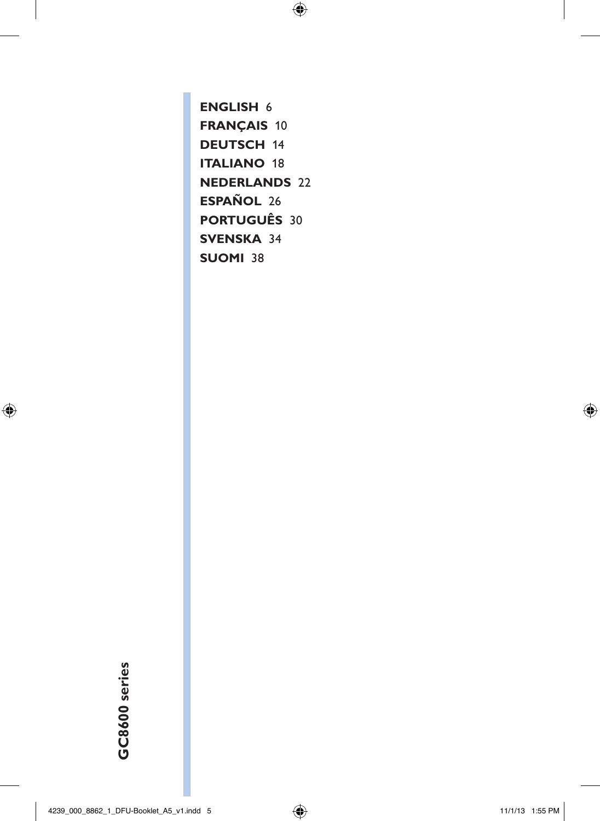**ENGLISH** 6 **FRANÇAIS** 10 **DEUTSCH** 14 **ITALIANO** 18 **NEDERLANDS** 22 **ESPAÑOL** 26 **PORTUGUÊS** 30 **SVENSKA** 34 **SUOMI** 38

 $\bigoplus$ 

GC8600 series **GC8600 series**

 $\bigoplus$ 

 $\bigcirc$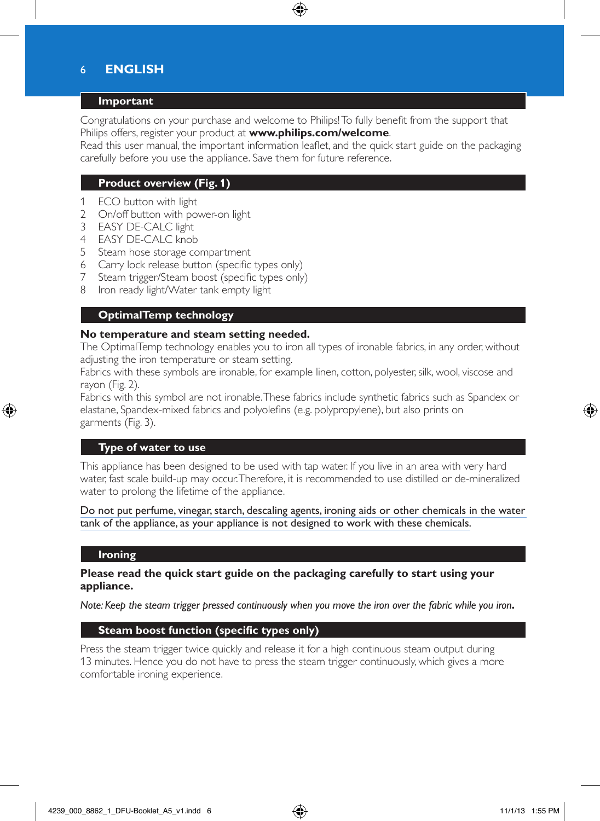#### 6 **ENGLISH**

#### **Important**

Congratulations on your purchase and welcome to Philips! To fully beneit from the support that Philips offers, register your product at **www.philips.com/welcome**.

⊕

Read this user manual, the important information leaflet, and the quick start guide on the packaging carefully before you use the appliance. Save them for future reference.

#### **Product overview (Fig. 1)**

- **ECO** button with light
- 2 On/off button with power-on light
- 3 EASY DE-CALC light
- 4 EASY DE-CALC knob
- 5 Steam hose storage compartment
- 6 Carry lock release button (specific types only)
- 7 Steam trigger/Steam boost (specific types only)
- 8 Iron ready light/Water tank empty light

#### **OptimalTemp technology**

#### **No temperature and steam setting needed.**

The OptimalTemp technology enables you to iron all types of ironable fabrics, in any order, without adjusting the iron temperature or steam setting.

Fabrics with these symbols are ironable, for example linen, cotton, polyester, silk, wool, viscose and rayon (Fig. 2).

Fabrics with this symbol are not ironable. These fabrics include synthetic fabrics such as Spandex or elastane, Spandex-mixed fabrics and polyolefins (e.g. polypropylene), but also prints on garments (Fig. 3).

#### **Type of water to use**

This appliance has been designed to be used with tap water. If you live in an area with very hard water, fast scale build-up may occur. Therefore, it is recommended to use distilled or de-mineralized water to prolong the lifetime of the appliance.

Do not put perfume, vinegar, starch, descaling agents, ironing aids or other chemicals in the water tank of the appliance, as your appliance is not designed to work with these chemicals.

#### **Ironing**

**Please read the quick start guide on the packaging carefully to start using your appliance.**

*Note: Keep the steam trigger pressed continuously when you move the iron over the fabric while you iron***.**

#### **Steam boost function (specific types only)**

Press the steam trigger twice quickly and release it for a high continuous steam output during 13 minutes. Hence you do not have to press the steam trigger continuously, which gives a more comfortable ironing experience.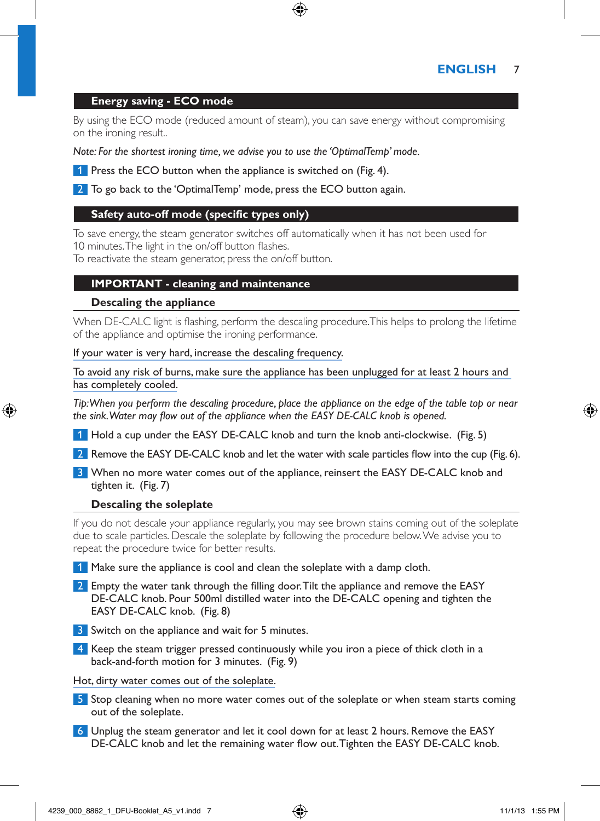## **ENGLISH** 7

#### **Energy saving - ECO mode**

By using the ECO mode (reduced amount of steam), you can save energy without compromising on the ironing result..

*Note: For the shortest ironing time, we advise you to use the 'OptimalTemp' mode.*

1 Press the ECO button when the appliance is switched on (Fig. 4).

2 To go back to the 'OptimalTemp' mode, press the ECO button again.

#### **Safety auto-off mode (specific types only)**

To save energy, the steam generator switches off automatically when it has not been used for 10 minutes. The light in the on/off button flashes.

To reactivate the steam generator, press the on/off button.

#### **IMPORTANT - cleaning and maintenance**

#### **Descaling the appliance**

When DE-CALC light is flashing, perform the descaling procedure. This helps to prolong the lifetime of the appliance and optimise the ironing performance.

If your water is very hard, increase the descaling frequency.

To avoid any risk of burns, make sure the appliance has been unplugged for at least 2 hours and has completely cooled.

*Tip: When you perform the descaling procedure, place the appliance on the edge of the table top or near the sink. Water may low out of the appliance when the EASY DE-CALC knob is opened.*

1 Hold a cup under the EASY DE-CALC knob and turn the knob anti-clockwise. (Fig. 5)

2 Remove the EASY DE-CALC knob and let the water with scale particles flow into the cup (Fig. 6).

3 When no more water comes out of the appliance, reinsert the EASY DE-CALC knob and tighten it. (Fig. 7)

#### **Descaling the soleplate**

◈

If you do not descale your appliance regularly, you may see brown stains coming out of the soleplate due to scale particles. Descale the soleplate by following the procedure below. We advise you to repeat the procedure twice for better results.

1 Make sure the appliance is cool and clean the soleplate with a damp cloth.

- 2 Empty the water tank through the filling door. Tilt the appliance and remove the EASY DE-CALC knob. Pour 500ml distilled water into the DE-CALC opening and tighten the EASY DE-CALC knob. (Fig. 8)
- **3** Switch on the appliance and wait for 5 minutes.
- 4 Keep the steam trigger pressed continuously while you iron a piece of thick cloth in a back-and-forth motion for 3 minutes. (Fig. 9)

Hot, dirty water comes out of the soleplate.

- 5 Stop cleaning when no more water comes out of the soleplate or when steam starts coming out of the soleplate.
- 6 Unplug the steam generator and let it cool down for at least 2 hours. Remove the EASY DE-CALC knob and let the remaining water flow out. Tighten the EASY DE-CALC knob.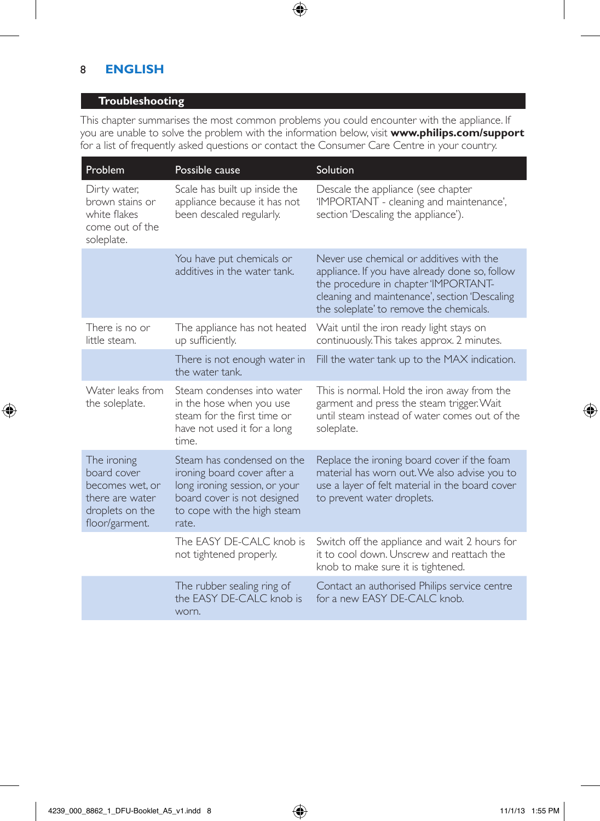## 8 **ENGLISH**

 $\bigoplus$ 

## **Troubleshooting**

This chapter summarises the most common problems you could encounter with the appliance. If you are unable to solve the problem with the information below, visit **www.philips.com/support** for a list of frequently asked questions or contact the Consumer Care Centre in your country.

 $\bigoplus$ 

| Problem                                                                                               | Possible cause                                                                                                                                                    | Solution                                                                                                                                                                                                                       |
|-------------------------------------------------------------------------------------------------------|-------------------------------------------------------------------------------------------------------------------------------------------------------------------|--------------------------------------------------------------------------------------------------------------------------------------------------------------------------------------------------------------------------------|
| Dirty water,<br>brown stains or<br>white flakes<br>come out of the<br>soleplate.                      | Scale has built up inside the<br>appliance because it has not<br>been descaled regularly.                                                                         | Descale the appliance (see chapter<br>'IMPORTANT - cleaning and maintenance',<br>section 'Descaling the appliance').                                                                                                           |
|                                                                                                       | You have put chemicals or<br>additives in the water tank.                                                                                                         | Never use chemical or additives with the<br>appliance. If you have already done so, follow<br>the procedure in chapter 'IMPORTANT-<br>cleaning and maintenance', section 'Descaling<br>the soleplate' to remove the chemicals. |
| There is no or<br>little steam.                                                                       | The appliance has not heated<br>up sufficiently.                                                                                                                  | Wait until the iron ready light stays on<br>continuously. This takes approx. 2 minutes.                                                                                                                                        |
|                                                                                                       | There is not enough water in<br>the water tank.                                                                                                                   | Fill the water tank up to the MAX indication.                                                                                                                                                                                  |
| Water leaks from<br>the soleplate.                                                                    | Steam condenses into water<br>in the hose when you use<br>steam for the first time or<br>have not used it for a long<br>time.                                     | This is normal. Hold the iron away from the<br>garment and press the steam trigger. Wait<br>until steam instead of water comes out of the<br>soleplate.                                                                        |
| The ironing<br>board cover<br>becomes wet, or<br>there are water<br>droplets on the<br>floor/garment. | Steam has condensed on the<br>ironing board cover after a<br>long ironing session, or your<br>board cover is not designed<br>to cope with the high steam<br>rate. | Replace the ironing board cover if the foam<br>material has worn out. We also advise you to<br>use a layer of felt material in the board cover<br>to prevent water droplets.                                                   |
|                                                                                                       | The EASY DE-CALC knob is<br>not tightened properly.                                                                                                               | Switch off the appliance and wait 2 hours for<br>it to cool down. Unscrew and reattach the<br>knob to make sure it is tightened.                                                                                               |
|                                                                                                       | The rubber sealing ring of<br>the EASY DE-CALC knob is<br>worn.                                                                                                   | Contact an authorised Philips service centre<br>for a new EASY DE-CALC knob.                                                                                                                                                   |

 $\bigcirc$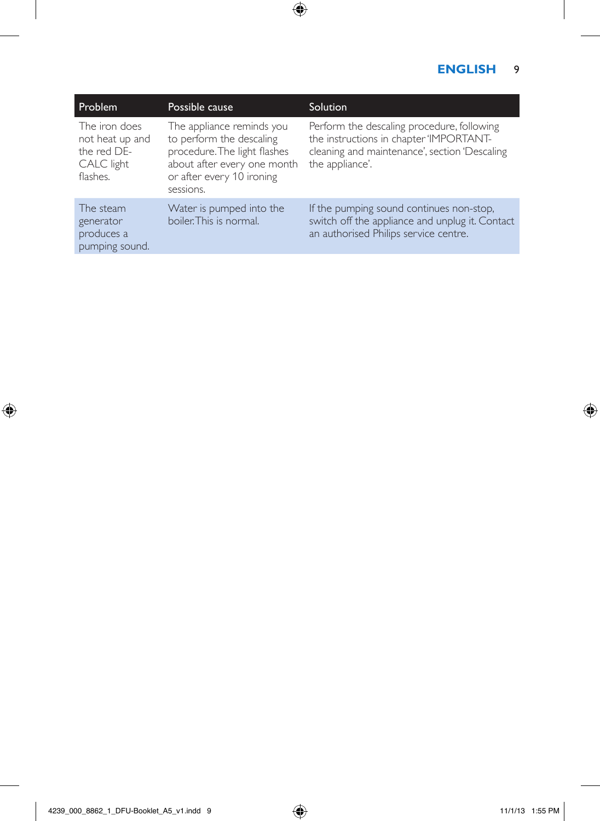## $\bigoplus$

## **ENGLISH** 9

 $\overline{\phantom{a}}$ 

 $\bigoplus$ 

| <b>Problem</b>                                                            | Possible cause                                                                                                                                                 | <b>Solution</b>                                                                                                                                           |
|---------------------------------------------------------------------------|----------------------------------------------------------------------------------------------------------------------------------------------------------------|-----------------------------------------------------------------------------------------------------------------------------------------------------------|
| The iron does<br>not heat up and<br>the red DE-<br>CALC light<br>flashes. | The appliance reminds you<br>to perform the descaling<br>procedure. The light flashes<br>about after every one month<br>or after every 10 ironing<br>sessions. | Perform the descaling procedure, following<br>the instructions in chapter 'IMPORTANT-<br>cleaning and maintenance', section 'Descaling<br>the appliance'. |
| The steam<br>generator<br>produces a<br>pumping sound.                    | Water is pumped into the<br>boiler. This is normal.                                                                                                            | If the pumping sound continues non-stop,<br>switch off the appliance and unplug it. Contact<br>an authorised Philips service centre.                      |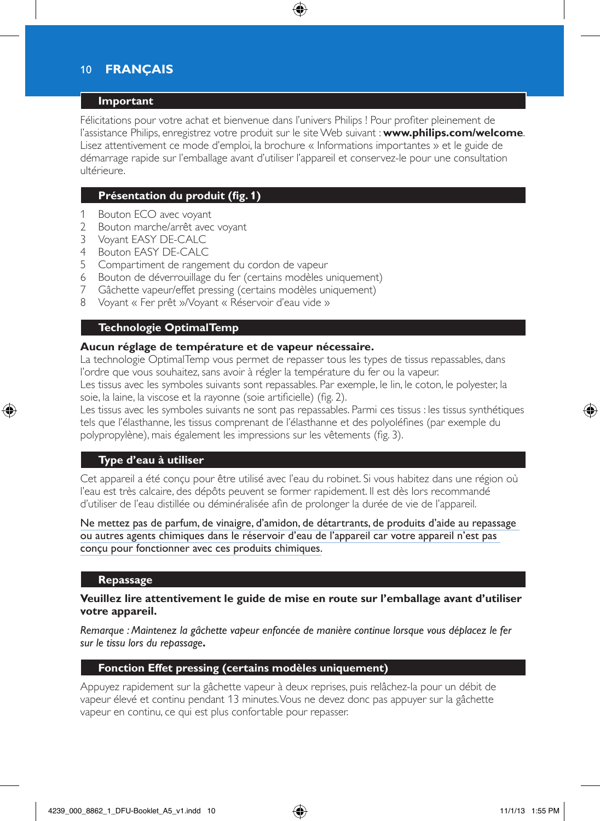#### **Important**

Félicitations pour votre achat et bienvenue dans l'univers Philips ! Pour profiter pleinement de l'assistance Philips, enregistrez votre produit sur le site Web suivant : **www.philips.com/welcome**. Lisez attentivement ce mode d'emploi, la brochure « Informations importantes » et le guide de démarrage rapide sur l'emballage avant d'utiliser l'appareil et conservez-le pour une consultation ultérieure.

⊕

#### **Présentation du produit (fig. 1)**

- 1 Bouton ECO avec voyant
- 2 Bouton marche/arrêt avec voyant
- 3 Voyant EASY DE-CALC
- 4 Bouton EASY DE-CALC
- 5 Compartiment de rangement du cordon de vapeur
- 6 Bouton de déverrouillage du fer (certains modèles uniquement)
- 7 Gâchette vapeur/effet pressing (certains modèles uniquement)
- 8 Voyant « Fer prêt »/Voyant « Réservoir d'eau vide »

#### **Technologie OptimalTemp**

#### **Aucun réglage de température et de vapeur nécessaire.**

La technologie OptimalTemp vous permet de repasser tous les types de tissus repassables, dans l'ordre que vous souhaitez, sans avoir à régler la température du fer ou la vapeur.

Les tissus avec les symboles suivants sont repassables. Par exemple, le lin, le coton, le polyester, la soie, la laine, la viscose et la rayonne (soie artificielle) (fig. 2).

Les tissus avec les symboles suivants ne sont pas repassables. Parmi ces tissus : les tissus synthétiques tels que l'élasthanne, les tissus comprenant de l'élasthanne et des polyoléines (par exemple du polypropylène), mais également les impressions sur les vêtements (fig. 3).

#### **Type d'eau à utiliser**

Cet appareil a été conçu pour être utilisé avec l'eau du robinet. Si vous habitez dans une région où l'eau est très calcaire, des dépôts peuvent se former rapidement. Il est dès lors recommandé d'utiliser de l'eau distillée ou déminéralisée afin de prolonger la durée de vie de l'appareil.

Ne mettez pas de parfum, de vinaigre, d'amidon, de détartrants, de produits d'aide au repassage ou autres agents chimiques dans le réservoir d'eau de l'appareil car votre appareil n'est pas conçu pour fonctionner avec ces produits chimiques.

#### **Repassage**

**Veuillez lire attentivement le guide de mise en route sur l'emballage avant d'utiliser votre appareil.**

*Remarque : Maintenez la gâchette vapeur enfoncée de manière continue lorsque vous déplacez le fer sur le tissu lors du repassage***.**

#### **Fonction Effet pressing (certains modèles uniquement)**

Appuyez rapidement sur la gâchette vapeur à deux reprises, puis relâchez-la pour un débit de vapeur élevé et continu pendant 13 minutes. Vous ne devez donc pas appuyer sur la gâchette vapeur en continu, ce qui est plus confortable pour repasser.

4239\_000\_8862\_1\_DFU-Booklet\_A5\_v1.indd 10 11/1/13 1:55 PM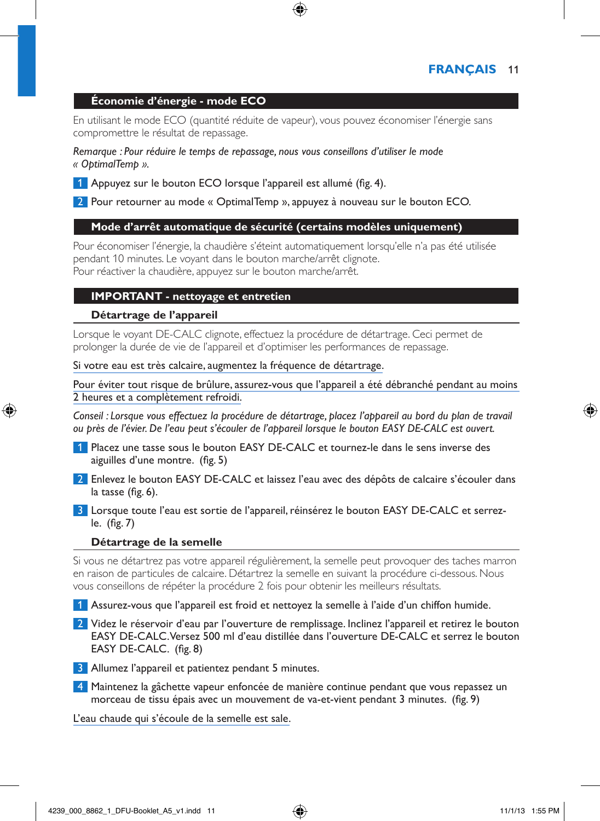## **Économie d'énergie - mode ECO**

En utilisant le mode ECO (quantité réduite de vapeur), vous pouvez économiser l'énergie sans compromettre le résultat de repassage.

⊕

*Remarque : Pour réduire le temps de repassage, nous vous conseillons d'utiliser le mode « OptimalTemp ».*

1 Appuyez sur le bouton ECO lorsque l'appareil est allumé (fig. 4).

2 Pour retourner au mode « OptimalTemp », appuyez à nouveau sur le bouton ECO.

#### **Mode d'arrêt automatique de sécurité (certains modèles uniquement)**

Pour économiser l'énergie, la chaudière s'éteint automatiquement lorsqu'elle n'a pas été utilisée pendant 10 minutes. Le voyant dans le bouton marche/arrêt clignote. Pour réactiver la chaudière, appuyez sur le bouton marche/arrêt.

#### **IMPORTANT - nettoyage et entretien**

#### **Détartrage de l'appareil**

◈

Lorsque le voyant DE-CALC clignote, effectuez la procédure de détartrage. Ceci permet de prolonger la durée de vie de l'appareil et d'optimiser les performances de repassage.

Si votre eau est très calcaire, augmentez la fréquence de détartrage.

Pour éviter tout risque de brûlure, assurez-vous que l'appareil a été débranché pendant au moins 2 heures et a complètement refroidi.

Conseil : Lorsque vous effectuez la procédure de détartrage, placez l'appareil au bord du plan de travail *ou près de l'évier. De l'eau peut s'écouler de l'appareil lorsque le bouton EASY DE-CALC est ouvert.*

- 1 Placez une tasse sous le bouton EASY DE-CALC et tournez-le dans le sens inverse des aiguilles d'une montre. (fig. 5)
- 2 Enlevez le bouton EASY DE-CALC et laissez l'eau avec des dépôts de calcaire s'écouler dans la tasse  $(fig. 6)$ .
- 3 Lorsque toute l'eau est sortie de l'appareil, réinsérez le bouton EASY DE-CALC et serrezle.  $(fig. 7)$

#### **Détartrage de la semelle**

Si vous ne détartrez pas votre appareil régulièrement, la semelle peut provoquer des taches marron en raison de particules de calcaire. Détartrez la semelle en suivant la procédure ci-dessous. Nous vous conseillons de répéter la procédure 2 fois pour obtenir les meilleurs résultats.

1 Assurez-vous que l'appareil est froid et nettoyez la semelle à l'aide d'un chiffon humide.

- 2 Videz le réservoir d'eau par l'ouverture de remplissage. Inclinez l'appareil et retirez le bouton EASY DE-CALC. Versez 500 ml d'eau distillée dans l'ouverture DE-CALC et serrez le bouton EASY DE-CALC. (fig. 8)
- <sup>3</sup> Allumez l'appareil et patientez pendant 5 minutes.
- 4 Maintenez la gâchette vapeur enfoncée de manière continue pendant que vous repassez un morceau de tissu épais avec un mouvement de va-et-vient pendant 3 minutes. (fig. 9)

L'eau chaude qui s'écoule de la semelle est sale.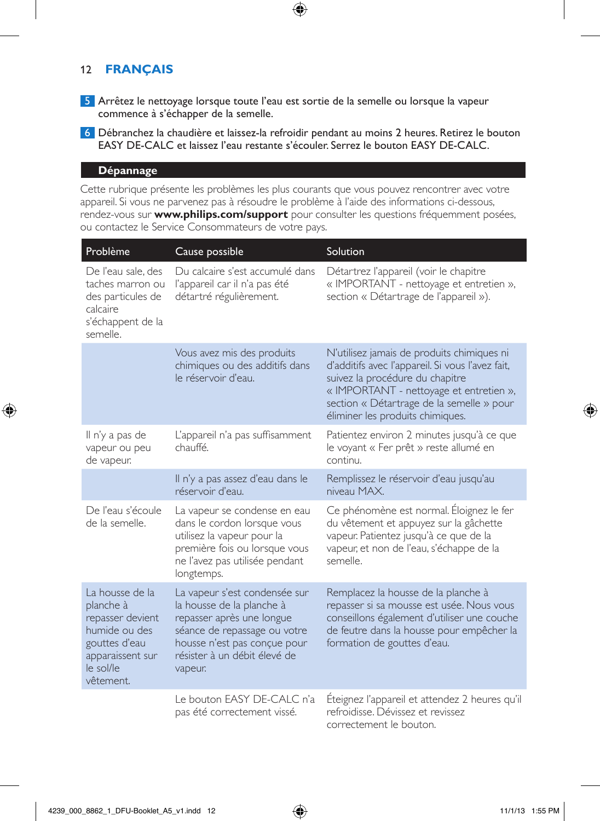5 Arrêtez le nettoyage lorsque toute l'eau est sortie de la semelle ou lorsque la vapeur commence à s'échapper de la semelle.

 $\bigoplus$ 

 6 Débranchez la chaudière et laissez-la refroidir pendant au moins 2 heures. Retirez le bouton EASY DE-CALC et laissez l'eau restante s'écouler. Serrez le bouton EASY DE-CALC.

#### **Dépannage**

⊕

Cette rubrique présente les problèmes les plus courants que vous pouvez rencontrer avec votre appareil. Si vous ne parvenez pas à résoudre le problème à l'aide des informations ci-dessous, rendez-vous sur **www.philips.com/support** pour consulter les questions fréquemment posées, ou contactez le Service Consommateurs de votre pays.

| Problème                                                                                                                         | Cause possible                                                                                                                                                                                     | Solution                                                                                                                                                                                                                                                      |
|----------------------------------------------------------------------------------------------------------------------------------|----------------------------------------------------------------------------------------------------------------------------------------------------------------------------------------------------|---------------------------------------------------------------------------------------------------------------------------------------------------------------------------------------------------------------------------------------------------------------|
| De l'eau sale, des<br>taches marron ou<br>des particules de<br>calcaire<br>s'échappent de la<br>semelle.                         | Du calcaire s'est accumulé dans<br>l'appareil car il n'a pas été<br>détartré régulièrement.                                                                                                        | Détartrez l'appareil (voir le chapitre<br>« IMPORTANT - nettoyage et entretien »,<br>section « Détartrage de l'appareil »).                                                                                                                                   |
|                                                                                                                                  | Vous avez mis des produits<br>chimiques ou des additifs dans<br>le réservoir d'eau.                                                                                                                | N'utilisez jamais de produits chimiques ni<br>d'additifs avec l'appareil. Si vous l'avez fait,<br>suivez la procédure du chapitre<br>« IMPORTANT - nettoyage et entretien »,<br>section « Détartrage de la semelle » pour<br>éliminer les produits chimiques. |
| Il n'y a pas de<br>vapeur ou peu<br>de vapeur.                                                                                   | L'appareil n'a pas suffisamment<br>chauffé.                                                                                                                                                        | Patientez environ 2 minutes jusqu'à ce que<br>le voyant « Fer prêt » reste allumé en<br>continu.                                                                                                                                                              |
|                                                                                                                                  | Il n'y a pas assez d'eau dans le<br>réservoir d'eau.                                                                                                                                               | Remplissez le réservoir d'eau jusqu'au<br>niveau MAX.                                                                                                                                                                                                         |
| De l'eau s'écoule<br>de la semelle.                                                                                              | La vapeur se condense en eau<br>dans le cordon lorsque vous<br>utilisez la vapeur pour la<br>première fois ou lorsque vous<br>ne l'avez pas utilisée pendant<br>longtemps.                         | Ce phénomène est normal. Éloignez le fer<br>du vêtement et appuyez sur la gâchette<br>vapeur. Patientez jusqu'à ce que de la<br>vapeur, et non de l'eau, s'échappe de la<br>semelle.                                                                          |
| La housse de la<br>planche à<br>repasser devient<br>humide ou des<br>gouttes d'eau<br>apparaissent sur<br>le sol/le<br>vêtement. | La vapeur s'est condensée sur<br>la housse de la planche à<br>repasser après une longue<br>séance de repassage ou votre<br>housse n'est pas conçue pour<br>résister à un débit élevé de<br>vapeur. | Remplacez la housse de la planche à<br>repasser si sa mousse est usée. Nous vous<br>conseillons également d'utiliser une couche<br>de feutre dans la housse pour empêcher la<br>formation de gouttes d'eau.                                                   |
|                                                                                                                                  | Le bouton EASY DE-CALC n'a<br>pas été correctement vissé.                                                                                                                                          | Eteignez l'appareil et attendez 2 heures qu'il<br>refroidisse. Dévissez et revissez<br>correctement le bouton.                                                                                                                                                |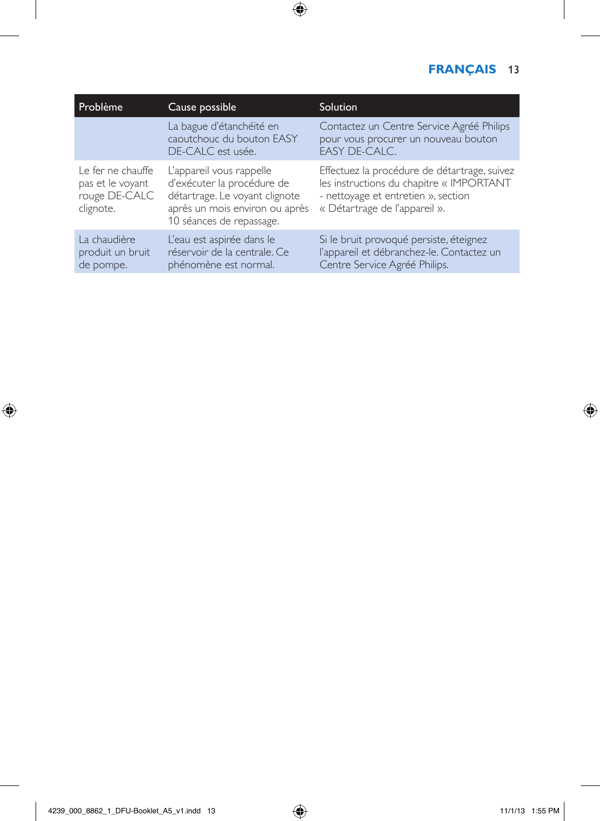$\overline{\phantom{a}}$ 

 $\bigoplus$ 

| Problème                                                            | Cause possible                                                                                                                                         | Solution                                                                                                                                                         |
|---------------------------------------------------------------------|--------------------------------------------------------------------------------------------------------------------------------------------------------|------------------------------------------------------------------------------------------------------------------------------------------------------------------|
|                                                                     | La bague d'étanchéité en<br>caoutchouc du bouton EASY<br>DE-CALC est usée.                                                                             | Contactez un Centre Service Agréé Philips<br>pour vous procurer un nouveau bouton<br>EASY DE-CALC.                                                               |
| Le fer ne chauffe<br>pas et le voyant<br>rouge DE-CALC<br>clignote. | L'appareil vous rappelle<br>d'exécuter la procédure de<br>détartrage. Le voyant clignote<br>après un mois environ ou après<br>10 séances de repassage. | Effectuez la procédure de détartrage, suivez<br>les instructions du chapitre « IMPORTANT<br>- nettoyage et entretien », section<br>« Détartrage de l'appareil ». |
| La chaudière<br>produit un bruit<br>de pompe.                       | L'eau est aspirée dans le<br>réservoir de la centrale. Ce<br>phénomène est normal.                                                                     | Si le bruit provoqué persiste, éteignez<br>l'appareil et débranchez-le. Contactez un<br>Centre Service Agréé Philips.                                            |

 $\bigoplus$ 

 $\overline{\phantom{a}}$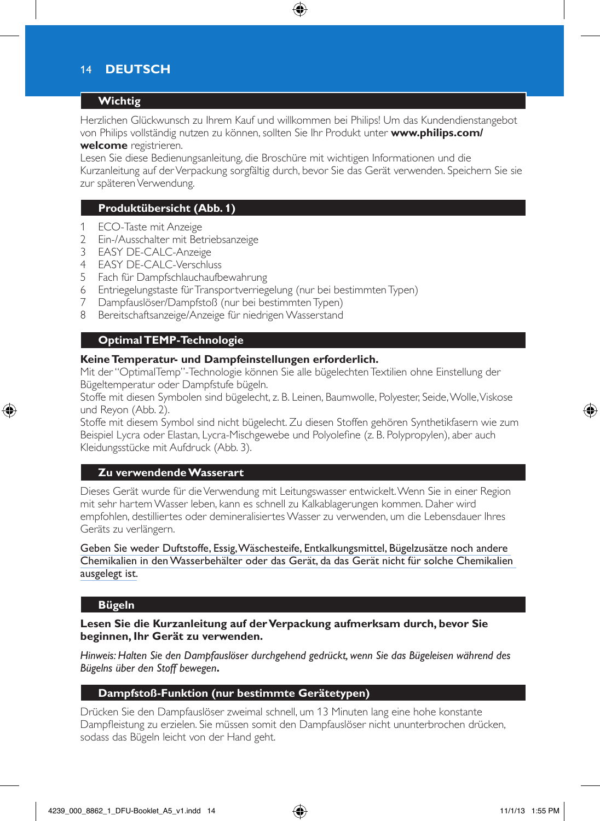#### **Wichtig**

Herzlichen Glückwunsch zu Ihrem Kauf und willkommen bei Philips! Um das Kundendienstangebot von Philips vollständig nutzen zu können, sollten Sie Ihr Produkt unter **www.philips.com/ welcome** registrieren.

⊕

Lesen Sie diese Bedienungsanleitung, die Broschüre mit wichtigen Informationen und die Kurzanleitung auf der Verpackung sorgfältig durch, bevor Sie das Gerät verwenden. Speichern Sie sie zur späteren Verwendung.

#### **Produktübersicht (Abb. 1)**

- 1 ECO-Taste mit Anzeige
- 2 Ein-/Ausschalter mit Betriebsanzeige
- 3 EASY DE-CALC-Anzeige
- 4 EASY DE-CALC-Verschluss
- 5 Fach für Dampfschlauchaufbewahrung
- 6 Entriegelungstaste für Transportverriegelung (nur bei bestimmten Typen)
- 7 Dampfauslöser/Dampfstoß (nur bei bestimmten Typen)
- 8 Bereitschaftsanzeige/Anzeige für niedrigen Wasserstand

#### **Optimal TEMP-Technologie**

#### **Keine Temperatur- und Dampfeinstellungen erforderlich.**

Mit der "OptimalTemp"-Technologie können Sie alle bügelechten Textilien ohne Einstellung der Bügeltemperatur oder Dampfstufe bügeln.

Stoffe mit diesen Symbolen sind bügelecht, z. B. Leinen, Baumwolle, Polyester, Seide, Wolle, Viskose und Reyon (Abb. 2).

Stoffe mit diesem Symbol sind nicht bügelecht. Zu diesen Stoffen gehören Synthetikfasern wie zum Beispiel Lycra oder Elastan, Lycra-Mischgewebe und Polyoleine (z. B. Polypropylen), aber auch Kleidungsstücke mit Aufdruck (Abb. 3).

#### **Zu verwendende Wasserart**

Dieses Gerät wurde für die Verwendung mit Leitungswasser entwickelt. Wenn Sie in einer Region mit sehr hartem Wasser leben, kann es schnell zu Kalkablagerungen kommen. Daher wird empfohlen, destilliertes oder demineralisiertes Wasser zu verwenden, um die Lebensdauer Ihres Geräts zu verlängern.

Geben Sie weder Duftstoffe, Essig, Wäschesteife, Entkalkungsmittel, Bügelzusätze noch andere Chemikalien in den Wasserbehälter oder das Gerät, da das Gerät nicht für solche Chemikalien ausgelegt ist.

#### **Bügeln**

⊕

#### **Lesen Sie die Kurzanleitung auf der Verpackung aufmerksam durch, bevor Sie beginnen, Ihr Gerät zu verwenden.**

*Hinweis: Halten Sie den Dampfauslöser durchgehend gedrückt, wenn Sie das Bügeleisen während des Bügelns über den Stoff bewegen***.**

#### **Dampfstoß-Funktion (nur bestimmte Gerätetypen)**

Drücken Sie den Dampfauslöser zweimal schnell, um 13 Minuten lang eine hohe konstante Dampleistung zu erzielen. Sie müssen somit den Dampfauslöser nicht ununterbrochen drücken, sodass das Bügeln leicht von der Hand geht.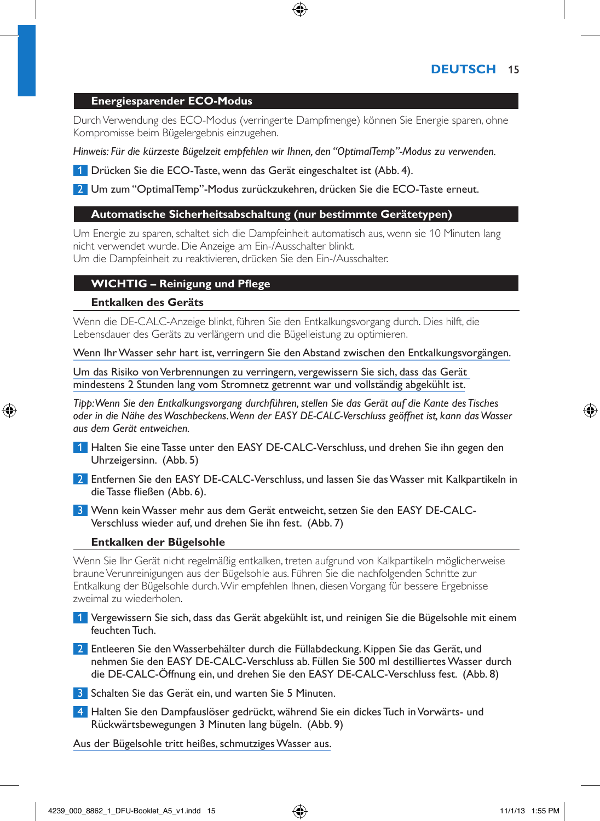#### **Energiesparender ECO-Modus**

Durch Verwendung des ECO-Modus (verringerte Dampfmenge) können Sie Energie sparen, ohne Kompromisse beim Bügelergebnis einzugehen.

⊕

*Hinweis: Für die kürzeste Bügelzeit empfehlen wir Ihnen, den "OptimalTemp"-Modus zu verwenden.*

1 Drücken Sie die ECO-Taste, wenn das Gerät eingeschaltet ist (Abb. 4).

2 Um zum "OptimalTemp"-Modus zurückzukehren, drücken Sie die ECO-Taste erneut.

#### **Automatische Sicherheitsabschaltung (nur bestimmte Gerätetypen)**

Um Energie zu sparen, schaltet sich die Dampfeinheit automatisch aus, wenn sie 10 Minuten lang nicht verwendet wurde. Die Anzeige am Ein-/Ausschalter blinkt. Um die Dampfeinheit zu reaktivieren, drücken Sie den Ein-/Ausschalter.

#### **WICHTIG – Reinigung und Pflege**

#### **Entkalken des Geräts**

⊕

Wenn die DE-CALC-Anzeige blinkt, führen Sie den Entkalkungsvorgang durch. Dies hilft, die Lebensdauer des Geräts zu verlängern und die Bügelleistung zu optimieren.

Wenn Ihr Wasser sehr hart ist, verringern Sie den Abstand zwischen den Entkalkungsvorgängen.

Um das Risiko von Verbrennungen zu verringern, vergewissern Sie sich, dass das Gerät mindestens 2 Stunden lang vom Stromnetz getrennt war und vollständig abgekühlt ist.

*Tipp: Wenn Sie den Entkalkungsvorgang durchführen, stellen Sie das Gerät auf die Kante des Tisches oder in die Nähe des Waschbeckens. Wenn der EASY DE-CALC-Verschluss geöffnet ist, kann das Wasser aus dem Gerät entweichen.*

- 1 Halten Sie eine Tasse unter den EASY DE-CALC-Verschluss, und drehen Sie ihn gegen den Uhrzeigersinn. (Abb. 5)
- 2 Entfernen Sie den EASY DE-CALC-Verschluss, und lassen Sie das Wasser mit Kalkpartikeln in die Tasse fließen (Abb. 6).
- 3 Wenn kein Wasser mehr aus dem Gerät entweicht, setzen Sie den EASY DE-CALC-Verschluss wieder auf, und drehen Sie ihn fest. (Abb. 7)

#### **Entkalken der Bügelsohle**

Wenn Sie Ihr Gerät nicht regelmäßig entkalken, treten aufgrund von Kalkpartikeln möglicherweise braune Verunreinigungen aus der Bügelsohle aus. Führen Sie die nachfolgenden Schritte zur Entkalkung der Bügelsohle durch. Wir empfehlen Ihnen, diesen Vorgang für bessere Ergebnisse zweimal zu wiederholen.

- 1 Vergewissern Sie sich, dass das Gerät abgekühlt ist, und reinigen Sie die Bügelsohle mit einem feuchten Tuch.
- 2 Entleeren Sie den Wasserbehälter durch die Füllabdeckung. Kippen Sie das Gerät, und nehmen Sie den EASY DE-CALC-Verschluss ab. Füllen Sie 500 ml destilliertes Wasser durch die DE-CALC-Öffnung ein, und drehen Sie den EASY DE-CALC-Verschluss fest. (Abb. 8)
- **3** Schalten Sie das Gerät ein, und warten Sie 5 Minuten.
- 4 Halten Sie den Dampfauslöser gedrückt, während Sie ein dickes Tuch in Vorwärts- und Rückwärtsbewegungen 3 Minuten lang bügeln. (Abb. 9)

Aus der Bügelsohle tritt heißes, schmutziges Wasser aus.

⊕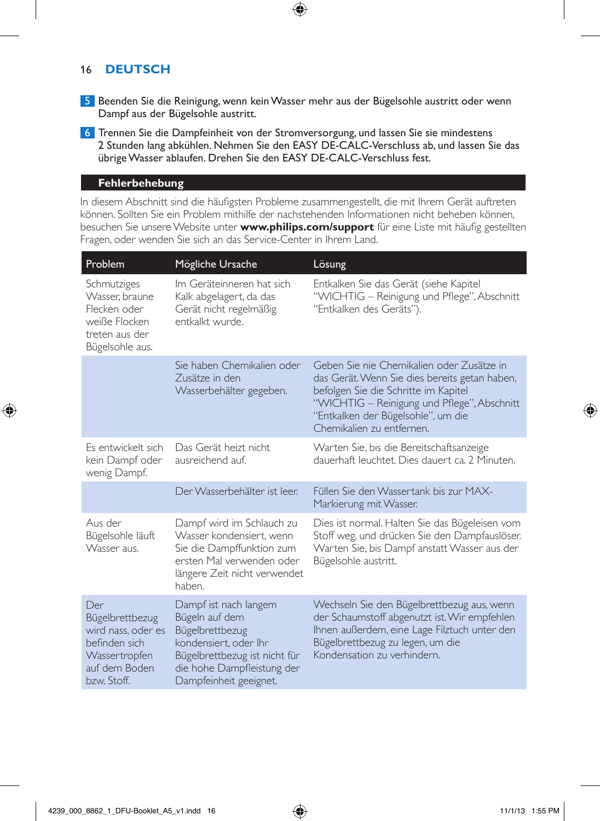5 Beenden Sie die Reinigung, wenn kein Wasser mehr aus der Bügelsohle austritt oder wenn Dampf aus der Bügelsohle austritt.

 $\bigoplus$ 

 6 Trennen Sie die Dampfeinheit von der Stromversorgung, und lassen Sie sie mindestens 2 Stunden lang abkühlen. Nehmen Sie den EASY DE-CALC-Verschluss ab, und lassen Sie das übrige Wasser ablaufen. Drehen Sie den EASY DE-CALC-Verschluss fest.

#### **Fehlerbehebung**

⊕

In diesem Abschnitt sind die häufigsten Probleme zusammengestellt, die mit Ihrem Gerät auftreten können. Sollten Sie ein Problem mithilfe der nachstehenden Informationen nicht beheben können, besuchen Sie unsere Website unter **www.philips.com/support** für eine Liste mit häuig gestellten Fragen, oder wenden Sie sich an das Service-Center in Ihrem Land.

| Problem                                                                                                        | Mögliche Ursache                                                                                                                                                             | Lösung                                                                                                                                                                                                                                               |
|----------------------------------------------------------------------------------------------------------------|------------------------------------------------------------------------------------------------------------------------------------------------------------------------------|------------------------------------------------------------------------------------------------------------------------------------------------------------------------------------------------------------------------------------------------------|
| Schmutziges<br>Wasser, braune<br>Flecken oder<br>weiße Flocken<br>treten aus der<br>Bügelsohle aus.            | Im Geräteinneren hat sich<br>Kalk abgelagert, da das<br>Gerät nicht regelmäßig<br>entkalkt wurde.                                                                            | Entkalken Sie das Gerät (siehe Kapitel<br>"WICHTIG - Reinigung und Pflege", Abschnitt<br>"Entkalken des Geräts").                                                                                                                                    |
|                                                                                                                | Sie haben Chemikalien oder<br>Zusätze in den<br>Wasserbehälter gegeben.                                                                                                      | Geben Sie nie Chemikalien oder Zusätze in<br>das Gerät. Wenn Sie dies bereits getan haben,<br>befolgen Sie die Schritte im Kapitel<br>"WICHTIG - Reinigung und Pflege", Abschnitt<br>"Entkalken der Bügelsohle", um die<br>Chemikalien zu entfernen. |
| Es entwickelt sich<br>kein Dampf oder<br>wenig Dampf.                                                          | Das Gerät heizt nicht<br>ausreichend auf.                                                                                                                                    | Warten Sie, bis die Bereitschaftsanzeige<br>dauerhaft leuchtet. Dies dauert ca. 2 Minuten.                                                                                                                                                           |
|                                                                                                                | Der Wasserbehälter ist leer.                                                                                                                                                 | Füllen Sie den Wassertank bis zur MAX-<br>Markierung mit Wasser.                                                                                                                                                                                     |
| Aus der<br>Bügelsohle läuft<br>Wasser aus.                                                                     | Dampf wird im Schlauch zu<br>Wasser kondensiert, wenn<br>Sie die Dampffunktion zum<br>ersten Mal verwenden oder<br>längere Zeit nicht verwendet<br>haben.                    | Dies ist normal. Halten Sie das Bügeleisen vom<br>Stoff weg, und drücken Sie den Dampfauslöser.<br>Warten Sie, bis Dampf anstatt Wasser aus der<br>Bügelsohle austritt.                                                                              |
| Der<br>Bügelbrettbezug<br>wird nass, oder es<br>befinden sich<br>Wassertropfen<br>auf dem Boden<br>bzw. Stoff. | Dampf ist nach langem<br>Bügeln auf dem<br>Bügelbrettbezug<br>kondensiert, oder Ihr<br>Bügelbrettbezug ist nicht für<br>die hohe Dampfleistung der<br>Dampfeinheit geeignet. | Wechseln Sie den Bügelbrettbezug aus, wenn<br>der Schaumstoff abgenutzt ist. Wir empfehlen<br>Ihnen außerdem, eine Lage Filztuch unter den<br>Bügelbrettbezug zu legen, um die<br>Kondensation zu verhindern.                                        |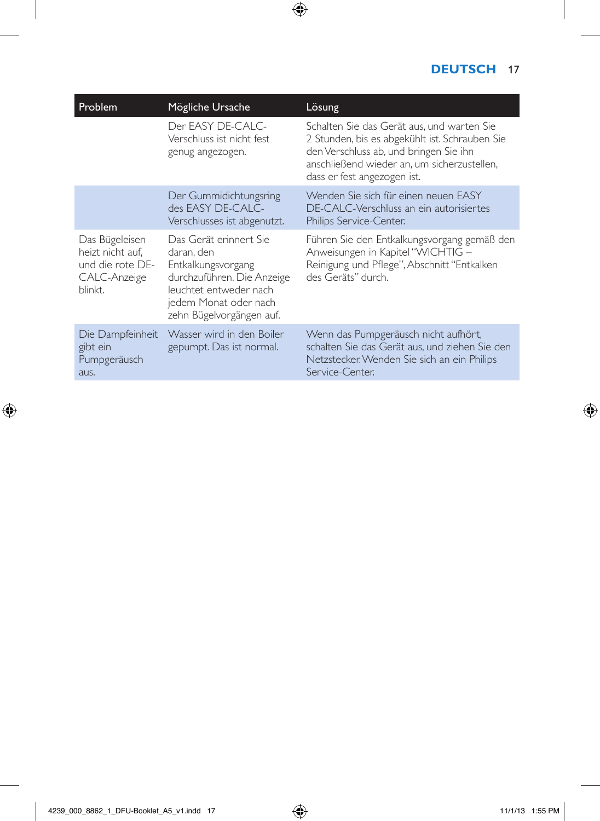$\overline{\phantom{a}}$ 

 $\bigoplus$ 

| Problem                                                                           | Mögliche Ursache                                                                                                                                                        | Lösung                                                                                                                                                                                                               |
|-----------------------------------------------------------------------------------|-------------------------------------------------------------------------------------------------------------------------------------------------------------------------|----------------------------------------------------------------------------------------------------------------------------------------------------------------------------------------------------------------------|
|                                                                                   | Der EASY DE-CALC-<br>Verschluss ist nicht fest<br>genug angezogen.                                                                                                      | Schalten Sie das Gerät aus, und warten Sie<br>2 Stunden, bis es abgekühlt ist. Schrauben Sie<br>den Verschluss ab, und bringen Sie ihn<br>anschließend wieder an, um sicherzustellen,<br>dass er fest angezogen ist. |
|                                                                                   | Der Gummidichtungsring<br>des EASY DE-CALC-<br>Verschlusses ist abgenutzt.                                                                                              | Wenden Sie sich für einen neuen EASY<br>DE-CALC-Verschluss an ein autorisiertes<br>Philips Service-Center.                                                                                                           |
| Das Bügeleisen<br>heizt nicht auf.<br>und die rote DE-<br>CALC-Anzeige<br>blinkt. | Das Gerät erinnert Sie<br>daran, den<br>Entkalkungsvorgang<br>durchzuführen. Die Anzeige<br>leuchtet entweder nach<br>jedem Monat oder nach<br>zehn Bügelvorgängen auf. | Führen Sie den Entkalkungsvorgang gemäß den<br>Anweisungen in Kapitel "WICHTIG -<br>Reinigung und Pflege", Abschnitt "Entkalken<br>des Geräts" durch.                                                                |
| Die Dampfeinheit<br>gibt ein<br>Pumpgeräusch<br>aus.                              | Wasser wird in den Boiler<br>gepumpt. Das ist normal.                                                                                                                   | Wenn das Pumpgeräusch nicht aufhört,<br>schalten Sie das Gerät aus, und ziehen Sie den<br>Netzstecker. Wenden Sie sich an ein Philips<br>Service-Center.                                                             |

 $\bigoplus$ 

 $\overline{\phantom{a}}$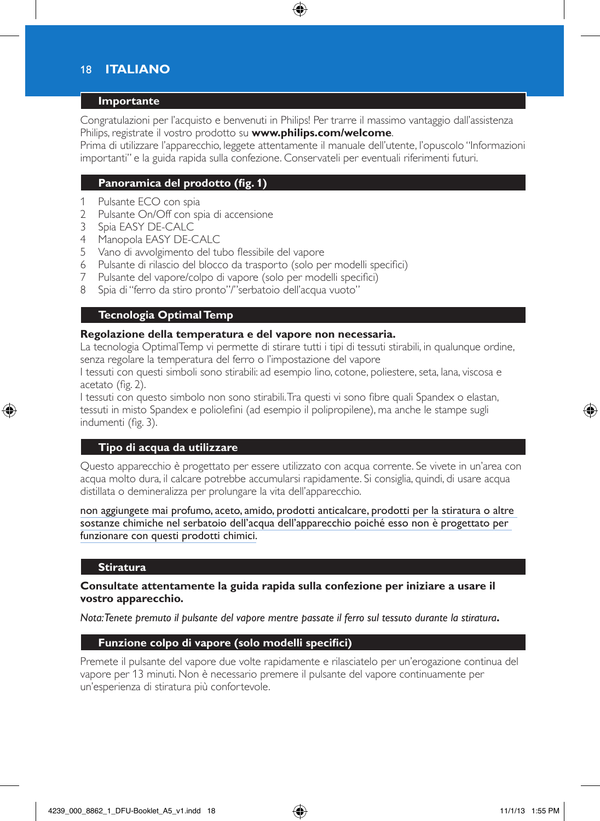#### **Importante**

Congratulazioni per l'acquisto e benvenuti in Philips! Per trarre il massimo vantaggio dall'assistenza Philips, registrate il vostro prodotto su **www.philips.com/welcome**.

⊕

Prima di utilizzare l'apparecchio, leggete attentamente il manuale dell'utente, l'opuscolo "Informazioni importanti" e la guida rapida sulla confezione. Conservateli per eventuali riferimenti futuri.

#### Panoramica del prodotto (fig. 1)

- Pulsante ECO con spia
- 2 Pulsante On/Off con spia di accensione
- 3 Spia EASY DE-CALC
- 4 Manopola EASY DE-CALC
- 5 Vano di avvolgimento del tubo flessibile del vapore
- 6 Pulsante di rilascio del blocco da trasporto (solo per modelli specifici)
- 7 Pulsante del vapore/colpo di vapore (solo per modelli specifici)
- 8 Spia di "ferro da stiro pronto"/"serbatoio dell'acqua vuoto"

#### **Tecnologia Optimal Temp**

#### **Regolazione della temperatura e del vapore non necessaria.**

La tecnologia OptimalTemp vi permette di stirare tutti i tipi di tessuti stirabili, in qualunque ordine, senza regolare la temperatura del ferro o l'impostazione del vapore

I tessuti con questi simboli sono stirabili: ad esempio lino, cotone, poliestere, seta, lana, viscosa e acetato (fig. 2).

I tessuti con questo simbolo non sono stirabili. Tra questi vi sono fibre quali Spandex o elastan, tessuti in misto Spandex e polioleini (ad esempio il polipropilene), ma anche le stampe sugli indumenti (fig. 3).

#### **Tipo di acqua da utilizzare**

Questo apparecchio è progettato per essere utilizzato con acqua corrente. Se vivete in un'area con acqua molto dura, il calcare potrebbe accumularsi rapidamente. Si consiglia, quindi, di usare acqua distillata o demineralizza per prolungare la vita dell'apparecchio.

non aggiungete mai profumo, aceto, amido, prodotti anticalcare, prodotti per la stiratura o altre sostanze chimiche nel serbatoio dell'acqua dell'apparecchio poiché esso non è progettato per funzionare con questi prodotti chimici.

#### **Stiratura**

#### **Consultate attentamente la guida rapida sulla confezione per iniziare a usare il vostro apparecchio.**

*Nota: Tenete premuto il pulsante del vapore mentre passate il ferro sul tessuto durante la stiratura***.**

#### **Funzione colpo di vapore (solo modelli speciici)**

Premete il pulsante del vapore due volte rapidamente e rilasciatelo per un'erogazione continua del vapore per 13 minuti. Non è necessario premere il pulsante del vapore continuamente per un'esperienza di stiratura più confortevole.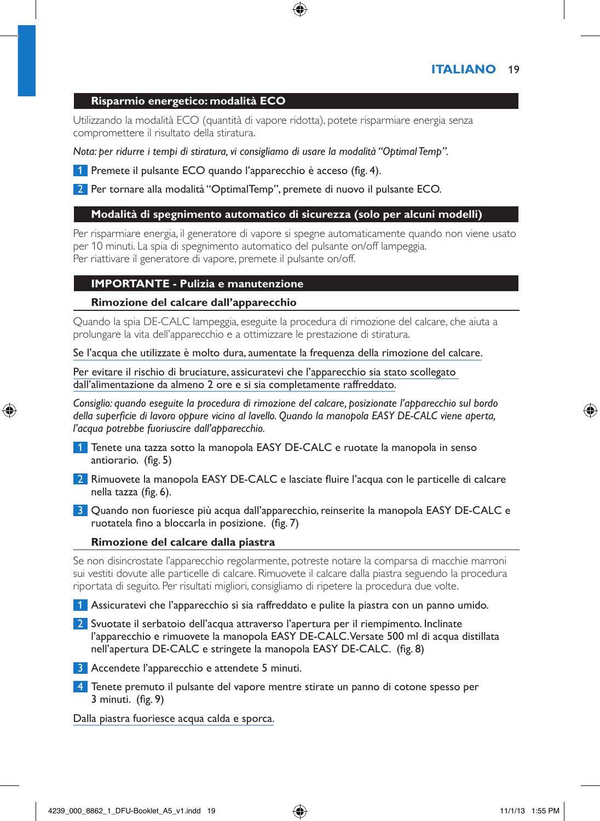#### **Risparmio energetico: modalità ECO**

Utilizzando la modalità ECO (quantità di vapore ridotta), potete risparmiare energia senza compromettere il risultato della stiratura.

*Nota: per ridurre i tempi di stiratura, vi consigliamo di usare la modalità "Optimal Temp".*

1 Premete il pulsante ECO quando l'apparecchio è acceso (fig. 4).

2 Per tornare alla modalità "OptimalTemp", premete di nuovo il pulsante ECO.

#### **Modalità di spegnimento automatico di sicurezza (solo per alcuni modelli)**

Per risparmiare energia, il generatore di vapore si spegne automaticamente quando non viene usato per 10 minuti. La spia di spegnimento automatico del pulsante on/off lampeggia. Per riattivare il generatore di vapore, premete il pulsante on/off.

#### **IMPORTANTE - Pulizia e manutenzione**

#### **Rimozione del calcare dall'apparecchio**

Quando la spia DE-CALC lampeggia, eseguite la procedura di rimozione del calcare, che aiuta a prolungare la vita dell'apparecchio e a ottimizzare le prestazione di stiratura.

Se l'acqua che utilizzate è molto dura, aumentate la frequenza della rimozione del calcare.

Per evitare il rischio di bruciature, assicuratevi che l'apparecchio sia stato scollegato dall'alimentazione da almeno 2 ore e si sia completamente raffreddato.

*Consiglio: quando eseguite la procedura di rimozione del calcare, posizionate l'apparecchio sul bordo della supericie di lavoro oppure vicino al lavello. Quando la manopola EASY DE-CALC viene aperta, l'acqua potrebbe fuoriuscire dall'apparecchio.*

- 1 Tenete una tazza sotto la manopola EASY DE-CALC e ruotate la manopola in senso antiorario.  $(fig. 5)$
- 2 Rimuovete la manopola EASY DE-CALC e lasciate fluire l'acqua con le particelle di calcare nella tazza (fig. 6).
- 3 Quando non fuoriesce più acqua dall'apparecchio, reinserite la manopola EASY DE-CALC e ruotatela fino a bloccarla in posizione. (fig. 7)

#### **Rimozione del calcare dalla piastra**

⊕

Se non disincrostate l'apparecchio regolarmente, potreste notare la comparsa di macchie marroni sui vestiti dovute alle particelle di calcare. Rimuovete il calcare dalla piastra seguendo la procedura riportata di seguito. Per risultati migliori, consigliamo di ripetere la procedura due volte.

1 Assicuratevi che l'apparecchio si sia raffreddato e pulite la piastra con un panno umido.

 2 Svuotate il serbatoio dell'acqua attraverso l'apertura per il riempimento. Inclinate l'apparecchio e rimuovete la manopola EASY DE-CALC. Versate 500 ml di acqua distillata nell'apertura DE-CALC e stringete la manopola EASY DE-CALC. (fig. 8)



 4 Tenete premuto il pulsante del vapore mentre stirate un panno di cotone spesso per  $3$  minuti. (fig.  $9$ )

Dalla piastra fuoriesce acqua calda e sporca.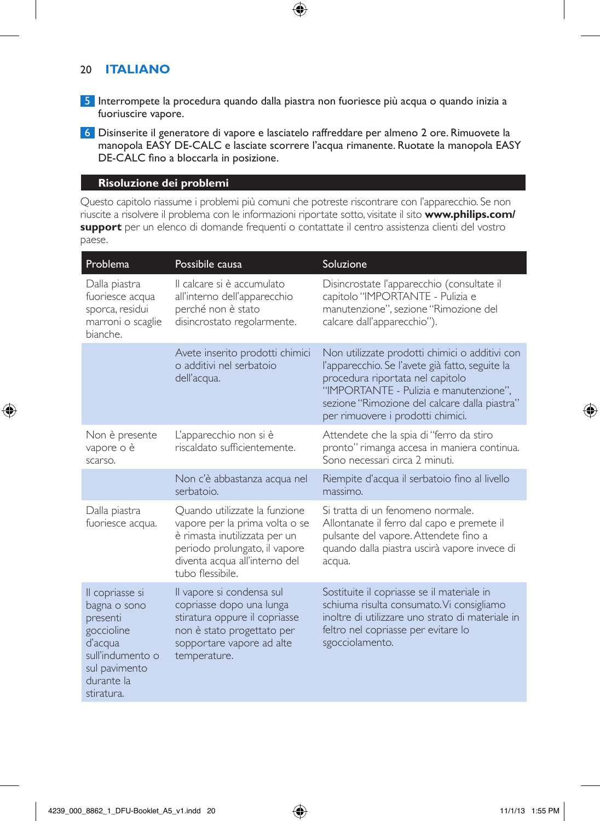⊕

 5 Interrompete la procedura quando dalla piastra non fuoriesce più acqua o quando inizia a fuoriuscire vapore.

 $\bigoplus$ 

 6 Disinserite il generatore di vapore e lasciatelo raffreddare per almeno 2 ore. Rimuovete la manopola EASY DE-CALC e lasciate scorrere l'acqua rimanente. Ruotate la manopola EASY DE-CALC fino a bloccarla in posizione.

#### **Risoluzione dei problemi**

Questo capitolo riassume i problemi più comuni che potreste riscontrare con l'apparecchio. Se non riuscite a risolvere il problema con le informazioni riportate sotto, visitate il sito **www.philips.com/ support** per un elenco di domande frequenti o contattate il centro assistenza clienti del vostro paese.

| Problema                                                                                                                              | Possibile causa                                                                                                                                                                        | Soluzione                                                                                                                                                                                                                                                             |
|---------------------------------------------------------------------------------------------------------------------------------------|----------------------------------------------------------------------------------------------------------------------------------------------------------------------------------------|-----------------------------------------------------------------------------------------------------------------------------------------------------------------------------------------------------------------------------------------------------------------------|
| Dalla piastra<br>fuoriesce acqua<br>sporca, residui<br>marroni o scaglie<br>bianche.                                                  | Il calcare si è accumulato<br>all'interno dell'apparecchio<br>perché non è stato<br>disincrostato regolarmente.                                                                        | Disincrostate l'apparecchio (consultate il<br>capitolo "IMPORTANTE - Pulizia e<br>manutenzione", sezione "Rimozione del<br>calcare dall'apparecchio").                                                                                                                |
|                                                                                                                                       | Avete inserito prodotti chimici<br>o additivi nel serbatojo<br>dell'acqua.                                                                                                             | Non utilizzate prodotti chimici o additivi con<br>l'apparecchio. Se l'avete già fatto, seguite la<br>procedura riportata nel capitolo<br>"IMPORTANTE - Pulizia e manutenzione",<br>sezione "Rimozione del calcare dalla piastra"<br>per rimuovere i prodotti chimici. |
| Non è presente<br>vapore o è<br>scarso.                                                                                               | L'apparecchio non si è<br>riscaldato sufficientemente.                                                                                                                                 | Attendete che la spia di "ferro da stiro<br>pronto" rimanga accesa in maniera continua.<br>Sono necessari circa 2 minuti.                                                                                                                                             |
|                                                                                                                                       | Non c'è abbastanza acqua nel<br>serbatojo.                                                                                                                                             | Riempite d'acqua il serbatoio fino al livello<br>massimo.                                                                                                                                                                                                             |
| Dalla piastra<br>fuoriesce acqua.                                                                                                     | Quando utilizzate la funzione<br>vapore per la prima volta o se<br>è rimasta inutilizzata per un<br>periodo prolungato, il vapore<br>diventa acqua all'interno del<br>tubo flessibile. | Si tratta di un fenomeno normale.<br>Allontanate il ferro dal capo e premete il<br>pulsante del vapore. Attendete fino a<br>quando dalla piastra uscirà vapore invece di<br>acqua.                                                                                    |
| Il copriasse si<br>bagna o sono<br>presenti<br>goccioline<br>d'acqua<br>sull'indumento o<br>sul pavimento<br>durante la<br>stiratura. | Il vapore si condensa sul<br>copriasse dopo una lunga<br>stiratura oppure il copriasse<br>non è stato progettato per<br>sopportare vapore ad alte<br>temperature.                      | Sostituite il copriasse se il materiale in<br>schiuma risulta consumato. Vi consigliamo<br>inoltre di utilizzare uno strato di materiale in<br>feltro nel copriasse per evitare lo<br>sgocciolamento.                                                                 |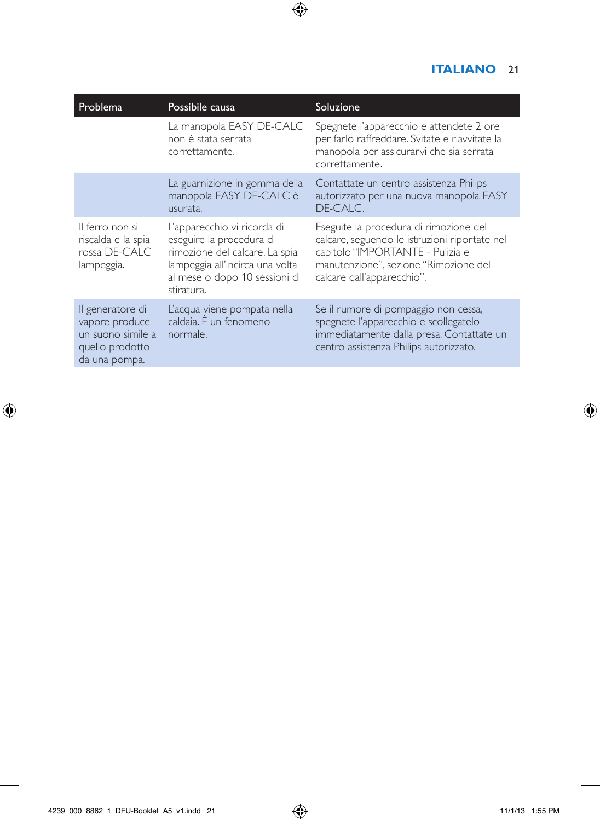$\overline{\phantom{a}}$ 

 $\bigoplus$ 

| Problema                                                                                    | Possibile causa                                                                                                                                                             | Soluzione                                                                                                                                                                                          |
|---------------------------------------------------------------------------------------------|-----------------------------------------------------------------------------------------------------------------------------------------------------------------------------|----------------------------------------------------------------------------------------------------------------------------------------------------------------------------------------------------|
|                                                                                             | La manopola EASY DE-CALC<br>non è stata serrata<br>correttamente.                                                                                                           | Spegnete l'apparecchio e attendete 2 ore<br>per farlo raffreddare. Svitate e riavvitate la<br>manopola per assicurarvi che sia serrata<br>correttamente.                                           |
|                                                                                             | La guarnizione in gomma della<br>manopola EASY DE-CALC è<br>usurata.                                                                                                        | Contattate un centro assistenza Philips<br>autorizzato per una nuova manopola EASY<br>DE-CALC.                                                                                                     |
| Il ferro non si<br>riscalda e la spia<br>rossa DE-CALC<br>lampeggia.                        | L'apparecchio vi ricorda di<br>eseguire la procedura di<br>rimozione del calcare. La spia<br>lampeggia all'incirca una volta<br>al mese o dopo 10 sessioni di<br>stiratura. | Eseguite la procedura di rimozione del<br>calcare, seguendo le istruzioni riportate nel<br>capitolo "IMPORTANTE - Pulizia e<br>manutenzione", sezione "Rimozione del<br>calcare dall'apparecchio". |
| Il generatore di<br>vapore produce<br>un suono simile a<br>quello prodotto<br>da una pompa. | L'acqua viene pompata nella<br>caldaia. È un fenomeno<br>normale.                                                                                                           | Se il rumore di pompaggio non cessa,<br>spegnete l'apparecchio e scollegatelo<br>immediatamente dalla presa. Contattate un<br>centro assistenza Philips autorizzato.                               |

 $\bigoplus$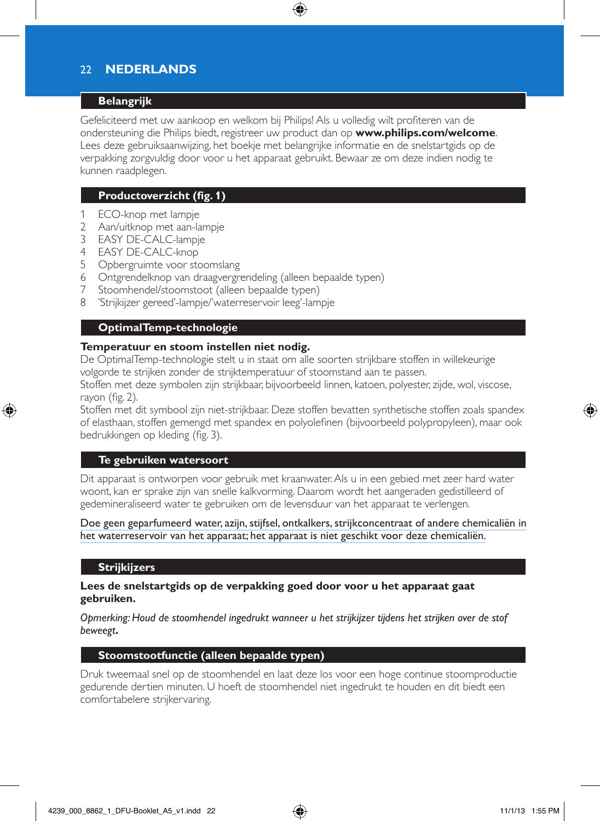#### **Belangrijk**

Gefeliciteerd met uw aankoop en welkom bij Philips! Als u volledig wilt profiteren van de ondersteuning die Philips biedt, registreer uw product dan op **www.philips.com/welcome**. Lees deze gebruiksaanwijzing, het boekje met belangrijke informatie en de snelstartgids op de verpakking zorgvuldig door voor u het apparaat gebruikt. Bewaar ze om deze indien nodig te kunnen raadplegen.

⊕

#### **Productoverzicht (fig. 1)**

- 1 ECO-knop met lampje
- 2 Aan/uitknop met aan-lampje
- 3 EASY DE-CALC-lampje
- 4 EASY DE-CALC-knop
- 5 Opbergruimte voor stoomslang
- 6 Ontgrendelknop van draagvergrendeling (alleen bepaalde typen)
- 7 Stoomhendel/stoomstoot (alleen bepaalde typen)
- 8 'Strijkijzer gereed'-lampje/'waterreservoir leeg'-lampje

#### **OptimalTemp-technologie**

#### **Temperatuur en stoom instellen niet nodig.**

De OptimalTemp-technologie stelt u in staat om alle soorten strijkbare stoffen in willekeurige volgorde te strijken zonder de strijktemperatuur of stoomstand aan te passen. Stoffen met deze symbolen zijn strijkbaar, bijvoorbeeld linnen, katoen, polyester, zijde, wol, viscose, rayon (fig. 2).

Stoffen met dit symbool zijn niet-strijkbaar. Deze stoffen bevatten synthetische stoffen zoals spandex of elasthaan, stoffen gemengd met spandex en polyoleinen (bijvoorbeeld polypropyleen), maar ook bedrukkingen op kleding (fig. 3).

#### **Te gebruiken watersoort**

Dit apparaat is ontworpen voor gebruik met kraanwater. Als u in een gebied met zeer hard water woont, kan er sprake zijn van snelle kalkvorming. Daarom wordt het aangeraden gedistilleerd of gedemineraliseerd water te gebruiken om de levensduur van het apparaat te verlengen.

Doe geen geparfumeerd water, azijn, stijfsel, ontkalkers, strijkconcentraat of andere chemicaliën in het waterreservoir van het apparaat; het apparaat is niet geschikt voor deze chemicaliën.

#### **Strijkijzers**

#### **Lees de snelstartgids op de verpakking goed door voor u het apparaat gaat gebruiken.**

*Opmerking: Houd de stoomhendel ingedrukt wanneer u het strijkijzer tijdens het strijken over de stof beweegt***.**

#### **Stoomstootfunctie (alleen bepaalde typen)**

Druk tweemaal snel op de stoomhendel en laat deze los voor een hoge continue stoomproductie gedurende dertien minuten. U hoeft de stoomhendel niet ingedrukt te houden en dit biedt een comfortabelere strijkervaring.

4239\_000\_8862\_1\_DFU-Booklet\_A5\_v1.indd 22 11/1/13 1:55 PM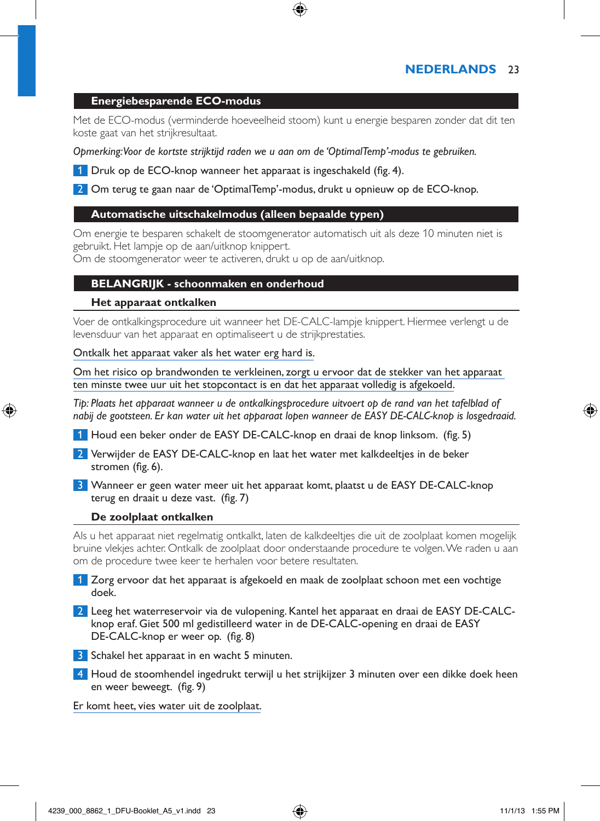#### **Energiebesparende ECO-modus**

Met de ECO-modus (verminderde hoeveelheid stoom) kunt u energie besparen zonder dat dit ten koste gaat van het strijkresultaat.

*Opmerking: Voor de kortste strijktijd raden we u aan om de 'OptimalTemp'-modus te gebruiken.*

1 Druk op de ECO-knop wanneer het apparaat is ingeschakeld (fig. 4).

2 Om terug te gaan naar de 'OptimalTemp'-modus, drukt u opnieuw op de ECO-knop.

#### **Automatische uitschakelmodus (alleen bepaalde typen)**

Om energie te besparen schakelt de stoomgenerator automatisch uit als deze 10 minuten niet is gebruikt. Het lampje op de aan/uitknop knippert.

Om de stoomgenerator weer te activeren, drukt u op de aan/uitknop.

#### **BELANGRIJK - schoonmaken en onderhoud**

#### **Het apparaat ontkalken**

◈

Voer de ontkalkingsprocedure uit wanneer het DE-CALC-lampje knippert. Hiermee verlengt u de levensduur van het apparaat en optimaliseert u de strijkprestaties.

Ontkalk het apparaat vaker als het water erg hard is.

Om het risico op brandwonden te verkleinen, zorgt u ervoor dat de stekker van het apparaat ten minste twee uur uit het stopcontact is en dat het apparaat volledig is afgekoeld.

*Tip: Plaats het apparaat wanneer u de ontkalkingsprocedure uitvoert op de rand van het tafelblad of nabij de gootsteen. Er kan water uit het apparaat lopen wanneer de EASY DE-CALC-knop is losgedraaid.*

1 Houd een beker onder de EASY DE-CALC-knop en draai de knop linksom. (fig. 5)

- 2 Verwijder de EASY DE-CALC-knop en laat het water met kalkdeeltjes in de beker stromen (fig. 6).
- 3 Wanneer er geen water meer uit het apparaat komt, plaatst u de EASY DE-CALC-knop terug en draait u deze vast.  $(fig. 7)$

#### **De zoolplaat ontkalken**

Als u het apparaat niet regelmatig ontkalkt, laten de kalkdeeltjes die uit de zoolplaat komen mogelijk bruine vlekjes achter. Ontkalk de zoolplaat door onderstaande procedure te volgen. We raden u aan om de procedure twee keer te herhalen voor betere resultaten.

- 1 Zorg ervoor dat het apparaat is afgekoeld en maak de zoolplaat schoon met een vochtige doek.
- 2 Leeg het waterreservoir via de vulopening. Kantel het apparaat en draai de EASY DE-CALCknop eraf. Giet 500 ml gedistilleerd water in de DE-CALC-opening en draai de EASY DE-CALC-knop er weer op. (fig. 8)

**3** Schakel het apparaat in en wacht 5 minuten.

4 Houd de stoomhendel ingedrukt terwijl u het strijkijzer 3 minuten over een dikke doek heen en weer beweegt. (fig. 9)

Er komt heet, vies water uit de zoolplaat.

4239\_000\_8862\_1\_DFU-Booklet\_A5\_v1.indd 23 11/1/13 1:55 PM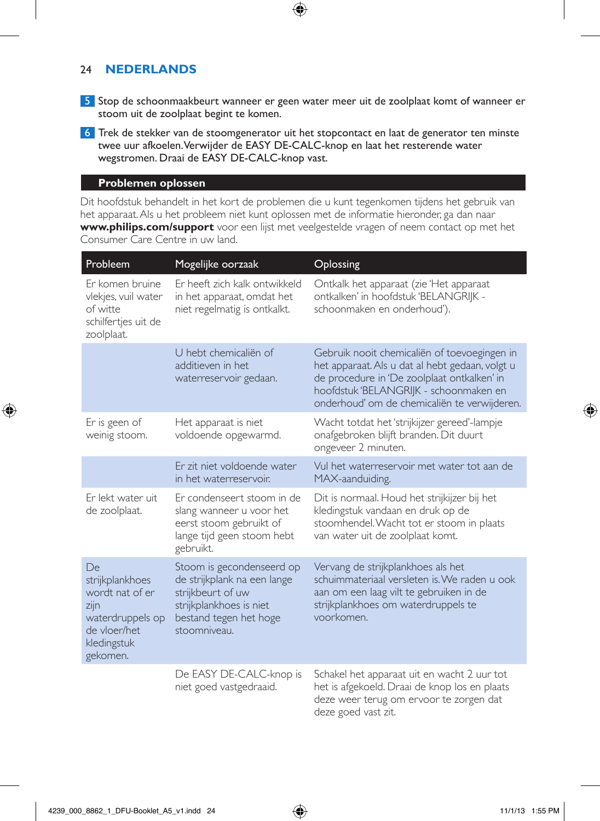5 Stop de schoonmaakbeurt wanneer er geen water meer uit de zoolplaat komt of wanneer er stoom uit de zoolplaat begint te komen.

 $\bigoplus$ 

 6 Trek de stekker van de stoomgenerator uit het stopcontact en laat de generator ten minste twee uur afkoelen. Verwijder de EASY DE-CALC-knop en laat het resterende water wegstromen. Draai de EASY DE-CALC-knop vast.

#### **Problemen oplossen**

⊕

Dit hoofdstuk behandelt in het kort de problemen die u kunt tegenkomen tijdens het gebruik van het apparaat. Als u het probleem niet kunt oplossen met de informatie hieronder, ga dan naar **www.philips.com/support** voor een lijst met veelgestelde vragen of neem contact op met het Consumer Care Centre in uw land.

| Probleem                                                                                                        | Mogelijke oorzaak                                                                                                                                  | Oplossing                                                                                                                                                                                                                                |
|-----------------------------------------------------------------------------------------------------------------|----------------------------------------------------------------------------------------------------------------------------------------------------|------------------------------------------------------------------------------------------------------------------------------------------------------------------------------------------------------------------------------------------|
| Er komen bruine<br>vlekjes, vuil water<br>of witte<br>schilfertjes uit de<br>zoolplaat.                         | Er heeft zich kalk ontwikkeld<br>in het apparaat, omdat het<br>niet regelmatig is ontkalkt.                                                        | Ontkalk het apparaat (zie 'Het apparaat<br>ontkalken' in hoofdstuk 'BELANGRIJK -<br>schoonmaken en onderhoud').                                                                                                                          |
|                                                                                                                 | U hebt chemicaliën of<br>additieven in het<br>waterreservoir gedaan.                                                                               | Gebruik nooit chemicaliën of toevoegingen in<br>het apparaat. Als u dat al hebt gedaan, volgt u<br>de procedure in 'De zoolplaat ontkalken' in<br>hoofdstuk 'BELANGRIJK - schoonmaken en<br>onderhoud' om de chemicaliën te verwijderen. |
| Er is geen of<br>weinig stoom.                                                                                  | Het apparaat is niet<br>voldoende opgewarmd.                                                                                                       | Wacht totdat het 'strijkijzer gereed'-lampje<br>onafgebroken blijft branden. Dit duurt<br>ongeveer 2 minuten.                                                                                                                            |
|                                                                                                                 | Er zit niet voldoende water<br>in het waterreservoir.                                                                                              | Vul het waterreservoir met water tot aan de<br>MAX-aanduiding.                                                                                                                                                                           |
| Er lekt water uit.<br>de zoolplaat.                                                                             | Er condenseert stoom in de<br>slang wanneer u voor het<br>eerst stoom gebruikt of<br>lange tijd geen stoom hebt<br>gebruikt.                       | Dit is normaal. Houd het strijkijzer bij het<br>kledingstuk vandaan en druk op de<br>stoomhendel. Wacht tot er stoom in plaats<br>van water uit de zoolplaat komt.                                                                       |
| De<br>strijkplankhoes<br>wordt nat of er<br>zijn<br>waterdruppels op<br>de vloer/het<br>kledingstuk<br>gekomen. | Stoom is gecondenseerd op<br>de strijkplank na een lange<br>strijkbeurt of uw<br>strijkplankhoes is niet<br>bestand tegen het hoge<br>stoomniveau. | Vervang de strijkplankhoes als het<br>schuimmateriaal versleten is. We raden u ook<br>aan om een laag vilt te gebruiken in de<br>strijkplankhoes om waterdruppels te<br>voorkomen.                                                       |
|                                                                                                                 | De EASY DE-CALC-knop is<br>niet goed vastgedraaid.                                                                                                 | Schakel het apparaat uit en wacht 2 uur tot<br>het is afgekoeld. Draai de knop los en plaats<br>deze weer terug om ervoor te zorgen dat<br>deze goed vast zit.                                                                           |

4239\_000\_8862\_1\_DFU-Booklet\_A5\_v1.indd 24 (a) in the set of the set of the set of the set of the set of the set of the set of the set of the set of the set of the set of the set of the set of the set of the set of the set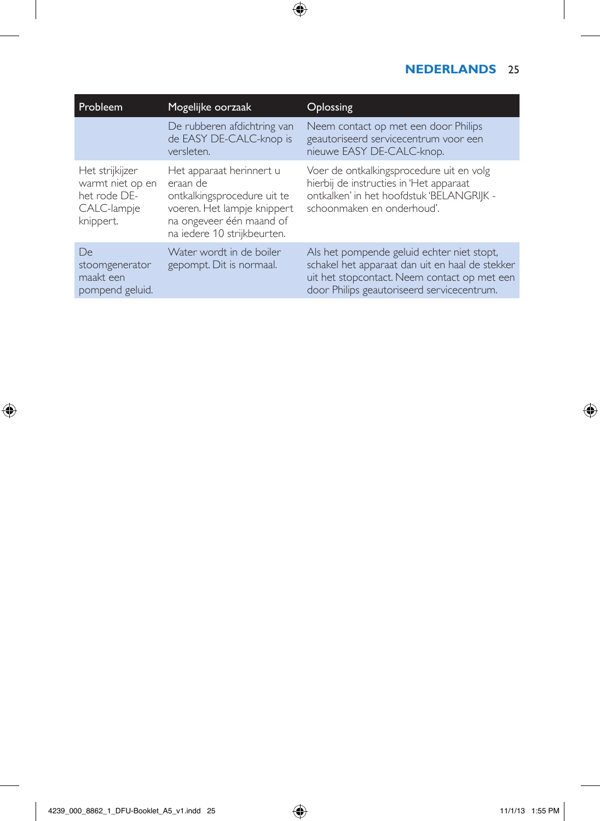$\mathbf{I}$ 

 $\bigoplus$ 

| Probleem                                                                        | Mogelijke oorzaak                                                                                                                                             | Oplossing                                                                                                                                                                                   |
|---------------------------------------------------------------------------------|---------------------------------------------------------------------------------------------------------------------------------------------------------------|---------------------------------------------------------------------------------------------------------------------------------------------------------------------------------------------|
|                                                                                 | De rubberen afdichtring van<br>de EASY DE-CALC-knop is<br>versleten.                                                                                          | Neem contact op met een door Philips<br>geautoriseerd servicecentrum voor een<br>nieuwe EASY DE-CALC-knop.                                                                                  |
| Het strijkijzer<br>warmt niet op en<br>het rode DE-<br>CALC-lampje<br>knippert. | Het apparaat herinnert u<br>eraan de<br>ontkalkingsprocedure uit te<br>voeren. Het lampje knippert<br>na ongeveer één maand of<br>na iedere 10 strijkbeurten. | Voer de ontkalkingsprocedure uit en volg<br>hierbij de instructies in 'Het apparaat<br>ontkalken' in het hoofdstuk 'BELANGRIJK -<br>schoonmaken en onderhoud'.                              |
| De.<br>stoomgenerator<br>maakt een<br>pompend geluid.                           | Water wordt in de boiler<br>gepompt. Dit is normaal.                                                                                                          | Als het pompende geluid echter niet stopt,<br>schakel het apparaat dan uit en haal de stekker<br>uit het stopcontact. Neem contact op met een<br>door Philips geautoriseerd servicecentrum. |

 $\bigoplus$ 

 $\overline{\phantom{a}}$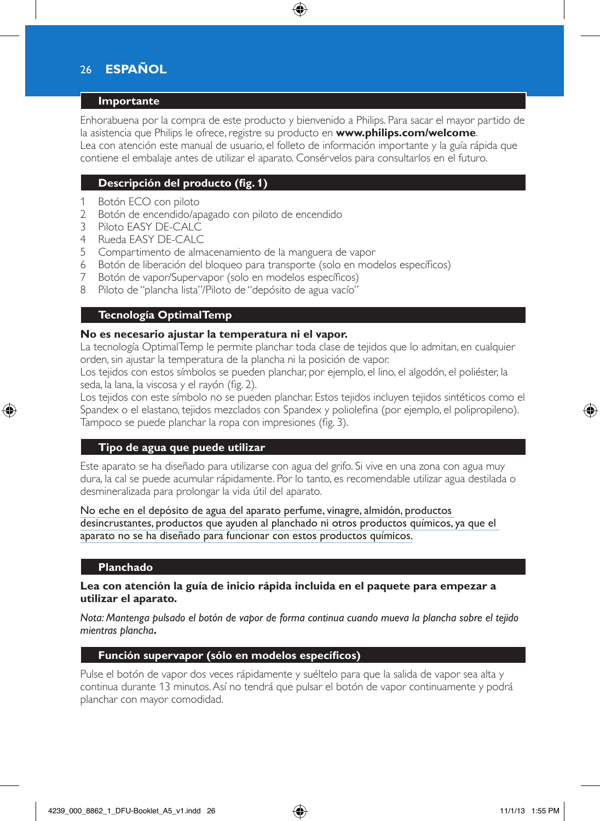## 26 **ESPAÑOL**

#### **Importante**

Enhorabuena por la compra de este producto y bienvenido a Philips. Para sacar el mayor partido de la asistencia que Philips le ofrece, registre su producto en **www.philips.com/welcome**. Lea con atención este manual de usuario, el folleto de información importante y la guía rápida que contiene el embalaje antes de utilizar el aparato. Consérvelos para consultarlos en el futuro.

⊕

#### **Descripción del producto (ig. 1)**

- Botón ECO con piloto
- 2 Botón de encendido/apagado con piloto de encendido
- 3 Piloto EASY DE-CALC
- 4 Rueda EASY DE-CALC
- 5 Compartimento de almacenamiento de la manguera de vapor
- 6 Botón de liberación del bloqueo para transporte (solo en modelos especíicos)
- 7 Botón de vapor/Supervapor (solo en modelos especíicos)
- 8 Piloto de "plancha lista"/Piloto de "depósito de agua vacío"

#### **Tecnología OptimalTemp**

#### **No es necesario ajustar la temperatura ni el vapor.**

La tecnología OptimalTemp le permite planchar toda clase de tejidos que lo admitan, en cualquier orden, sin ajustar la temperatura de la plancha ni la posición de vapor.

Los tejidos con estos símbolos se pueden planchar, por ejemplo, el lino, el algodón, el poliéster, la seda, la lana, la viscosa y el rayón (fig. 2).

Los tejidos con este símbolo no se pueden planchar. Estos tejidos incluyen tejidos sintéticos como el Spandex o el elastano, tejidos mezclados con Spandex y polioleina (por ejemplo, el polipropileno). Tampoco se puede planchar la ropa con impresiones (fig. 3).

#### **Tipo de agua que puede utilizar**

Este aparato se ha diseñado para utilizarse con agua del grifo. Si vive en una zona con agua muy dura, la cal se puede acumular rápidamente. Por lo tanto, es recomendable utilizar agua destilada o desmineralizada para prolongar la vida útil del aparato.

#### No eche en el depósito de agua del aparato perfume, vinagre, almidón, productos desincrustantes, productos que ayuden al planchado ni otros productos químicos, ya que el aparato no se ha diseñado para funcionar con estos productos químicos.

#### **Planchado**

#### **Lea con atención la guía de inicio rápida incluida en el paquete para empezar a utilizar el aparato.**

*Nota: Mantenga pulsado el botón de vapor de forma continua cuando mueva la plancha sobre el tejido mientras plancha***.**

#### **Función supervapor (sólo en modelos especíicos)**

Pulse el botón de vapor dos veces rápidamente y suéltelo para que la salida de vapor sea alta y continua durante 13 minutos. Así no tendrá que pulsar el botón de vapor continuamente y podrá planchar con mayor comodidad.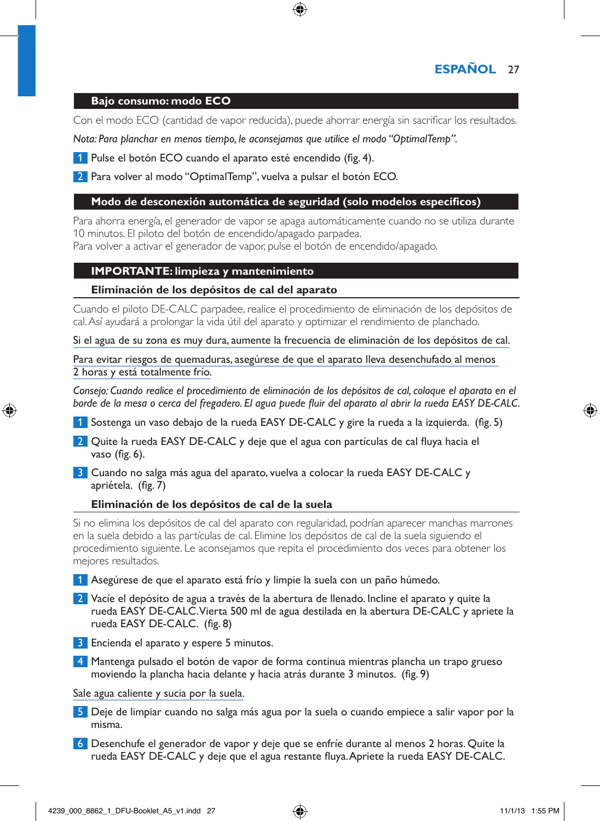## **ESPAÑOL** 27

#### **Bajo consumo: modo ECO**

Con el modo ECO (cantidad de vapor reducida), puede ahorrar energía sin sacrificar los resultados.

⊕

*Nota: Para planchar en menos tiempo, le aconsejamos que utilice el modo "OptimalTemp".*

1 Pulse el botón ECO cuando el aparato esté encendido (fig. 4).

2 Para volver al modo "OptimalTemp", vuelva a pulsar el botón ECO.

#### **Modo de desconexión automática de seguridad (solo modelos especíicos)**

Para ahorra energía, el generador de vapor se apaga automáticamente cuando no se utiliza durante 10 minutos. El piloto del botón de encendido/apagado parpadea.

Para volver a activar el generador de vapor, pulse el botón de encendido/apagado.

#### **IMPORTANTE: limpieza y mantenimiento**

#### **Eliminación de los depósitos de cal del aparato**

Cuando el piloto DE-CALC parpadee, realice el procedimiento de eliminación de los depósitos de cal. Así ayudará a prolongar la vida útil del aparato y optimizar el rendimiento de planchado.

Si el agua de su zona es muy dura, aumente la frecuencia de eliminación de los depósitos de cal.

Para evitar riesgos de quemaduras, asegúrese de que el aparato lleva desenchufado al menos 2 horas y está totalmente frío.

*Consejo: Cuando realice el procedimiento de eliminación de los depósitos de cal, coloque el aparato en el borde de la mesa o cerca del fregadero. El agua puede luir del aparato al abrir la rueda EASY DE-CALC.*

1 Sostenga un vaso debajo de la rueda EASY DE-CALC y gire la rueda a la izquierda. (fig. 5)

- 2 Quite la rueda EASY DE-CALC y deje que el agua con partículas de cal fluya hacia el vaso  $(fig. 6)$ .
- 3 Cuando no salga más agua del aparato, vuelva a colocar la rueda EASY DE-CALC y apriétela. (fig. 7)

#### **Eliminación de los depósitos de cal de la suela**

Si no elimina los depósitos de cal del aparato con regularidad, podrían aparecer manchas marrones en la suela debido a las partículas de cal. Elimine los depósitos de cal de la suela siguiendo el procedimiento siguiente. Le aconsejamos que repita el procedimiento dos veces para obtener los mejores resultados.

1 Asegúrese de que el aparato está frío y limpie la suela con un paño húmedo.

- 2 Vacíe el depósito de agua a través de la abertura de llenado. Incline el aparato y quite la rueda EASY DE-CALC. Vierta 500 ml de agua destilada en la abertura DE-CALC y apriete la rueda EASY DE-CALC. (fig. 8)
- **3** Encienda el aparato y espere 5 minutos.
- 4 Mantenga pulsado el botón de vapor de forma continua mientras plancha un trapo grueso moviendo la plancha hacia delante y hacia atrás durante 3 minutos. (fig. 9)

#### Sale agua caliente y sucia por la suela.

- 5 Deje de limpiar cuando no salga más agua por la suela o cuando empiece a salir vapor por la misma.
- 6 Desenchufe el generador de vapor y deje que se enfríe durante al menos 2 horas. Quite la rueda EASY DE-CALC y deje que el agua restante fluya. Apriete la rueda EASY DE-CALC.

◈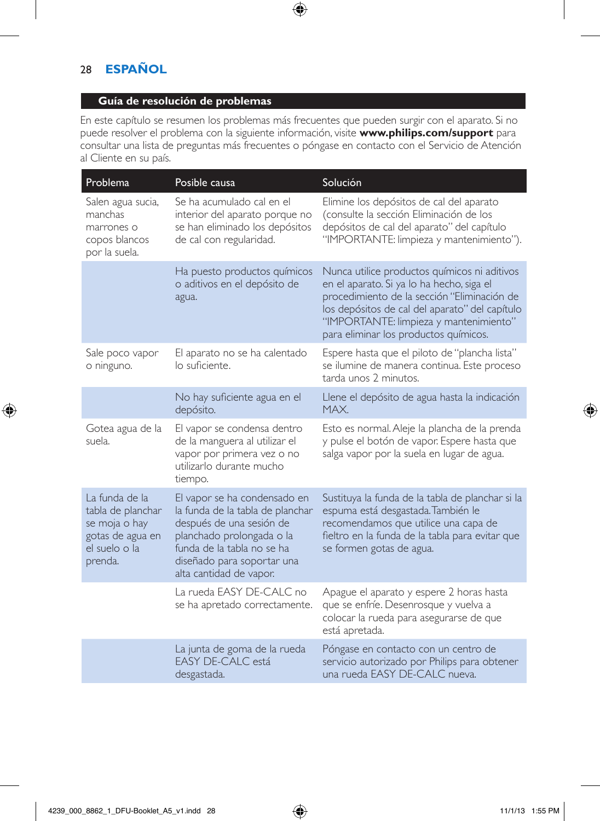## 28 **ESPAÑOL**

 $\bigoplus$ 

## **Guía de resolución de problemas**

En este capítulo se resumen los problemas más frecuentes que pueden surgir con el aparato. Si no puede resolver el problema con la siguiente información, visite **www.philips.com/support** para consultar una lista de preguntas más frecuentes o póngase en contacto con el Servicio de Atención al Cliente en su país.

 $\bigoplus$ 

| Problema                                                                                             | Posible causa                                                                                                                                                                                                    | Solución                                                                                                                                                                                                                                                                      |
|------------------------------------------------------------------------------------------------------|------------------------------------------------------------------------------------------------------------------------------------------------------------------------------------------------------------------|-------------------------------------------------------------------------------------------------------------------------------------------------------------------------------------------------------------------------------------------------------------------------------|
| Salen agua sucia,<br>manchas<br>marrones o<br>copos blancos<br>por la suela.                         | Se ha acumulado cal en el<br>interior del aparato porque no<br>se han eliminado los depósitos<br>de cal con regularidad.                                                                                         | Elimine los depósitos de cal del aparato<br>(consulte la sección Eliminación de los<br>depósitos de cal del aparato" del capítulo<br>"IMPORTANTE: limpieza y mantenimiento").                                                                                                 |
|                                                                                                      | Ha puesto productos químicos<br>o aditivos en el depósito de<br>agua.                                                                                                                                            | Nunca utilice productos químicos ni aditivos<br>en el aparato. Si ya lo ha hecho, siga el<br>procedimiento de la sección "Eliminación de<br>los depósitos de cal del aparato" del capítulo<br>"IMPORTANTE: limpieza y mantenimiento"<br>para eliminar los productos químicos. |
| Sale poco vapor<br>o ninguno.                                                                        | El aparato no se ha calentado<br>lo suficiente.                                                                                                                                                                  | Espere hasta que el piloto de "plancha lista"<br>se ilumine de manera continua. Este proceso<br>tarda unos 2 minutos.                                                                                                                                                         |
|                                                                                                      | No hay suficiente agua en el<br>depósito.                                                                                                                                                                        | Llene el depósito de agua hasta la indicación<br>MAX.                                                                                                                                                                                                                         |
| Gotea agua de la<br>suela.                                                                           | El vapor se condensa dentro<br>de la manguera al utilizar el<br>vapor por primera vez o no<br>utilizarlo durante mucho<br>tiempo.                                                                                | Esto es normal. Aleje la plancha de la prenda<br>y pulse el botón de vapor. Espere hasta que<br>salga vapor por la suela en lugar de agua.                                                                                                                                    |
| La funda de la<br>tabla de planchar<br>se moja o hay<br>gotas de agua en<br>el suelo o la<br>prenda. | El vapor se ha condensado en<br>la funda de la tabla de planchar<br>después de una sesión de<br>planchado prolongada o la<br>funda de la tabla no se ha<br>diseñado para soportar una<br>alta cantidad de vapor. | Sustituya la funda de la tabla de planchar si la<br>espuma está desgastada. También le<br>recomendamos que utilice una capa de<br>fieltro en la funda de la tabla para evitar que<br>se formen gotas de agua.                                                                 |
|                                                                                                      | La rueda EASY DE-CALC no<br>se ha apretado correctamente.                                                                                                                                                        | Apague el aparato y espere 2 horas hasta<br>que se enfríe. Desenrosque y vuelva a<br>colocar la rueda para asegurarse de que<br>está apretada.                                                                                                                                |
|                                                                                                      | La junta de goma de la rueda<br>EASY DE-CALC está<br>desgastada.                                                                                                                                                 | Póngase en contacto con un centro de<br>servicio autorizado por Philips para obtener<br>una rueda EASY DE-CALC nueva.                                                                                                                                                         |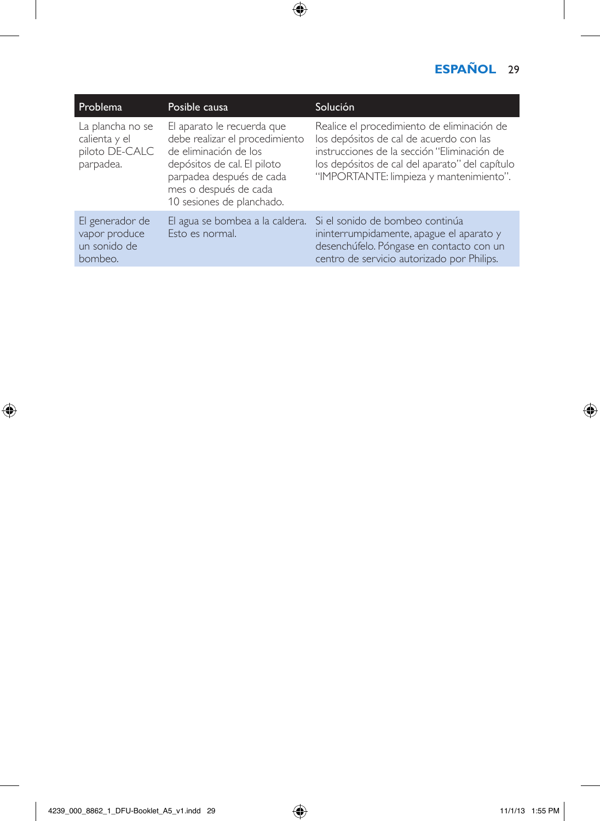## $\bigoplus$

## **ESPAÑOL** 29

 $\overline{\phantom{a}}$ 

 $\bigoplus$ 

| Problema                                                         | Posible causa                                                                                                                                                                                          | <b>Solución</b>                                                                                                                                                                                                                   |
|------------------------------------------------------------------|--------------------------------------------------------------------------------------------------------------------------------------------------------------------------------------------------------|-----------------------------------------------------------------------------------------------------------------------------------------------------------------------------------------------------------------------------------|
| La plancha no se<br>calienta y el<br>piloto DE-CALC<br>parpadea. | El aparato le recuerda que<br>debe realizar el procedimiento<br>de eliminación de los<br>depósitos de cal. El piloto<br>parpadea después de cada<br>mes o después de cada<br>10 sesiones de planchado. | Realice el procedimiento de eliminación de<br>los depósitos de cal de acuerdo con las<br>instrucciones de la sección "Eliminación de<br>los depósitos de cal del aparato" del capítulo<br>"IMPORTANTE: limpieza y mantenimiento". |
| El generador de<br>vapor produce<br>un sonido de<br>bombeo.      | El agua se bombea a la caldera.<br>Esto es normal.                                                                                                                                                     | Si el sonido de bombeo continúa<br>ininterrumpidamente, apague el aparato y<br>desenchúfelo. Póngase en contacto con un<br>centro de servicio autorizado por Philips.                                                             |

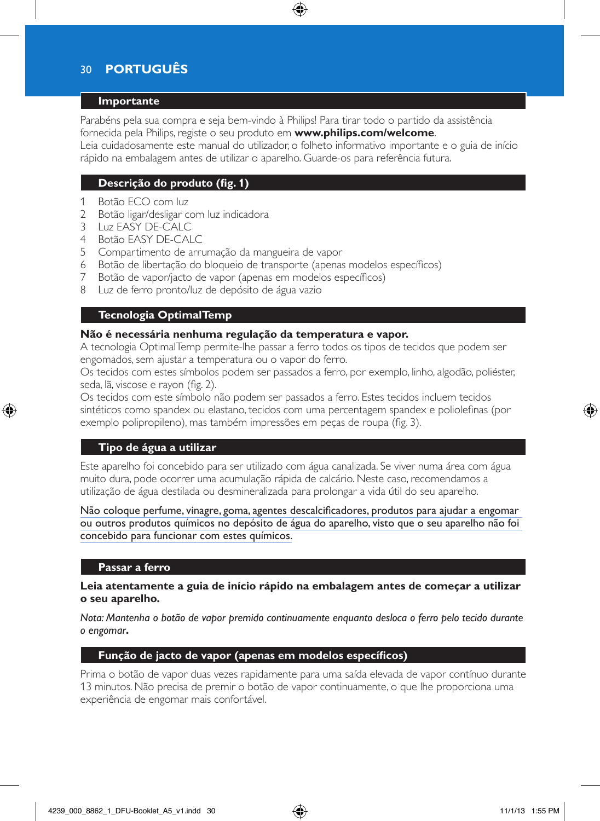#### **Importante**

Parabéns pela sua compra e seja bem-vindo à Philips! Para tirar todo o partido da assistência fornecida pela Philips, registe o seu produto em **www.philips.com/welcome**. Leia cuidadosamente este manual do utilizador, o folheto informativo importante e o guia de início rápido na embalagem antes de utilizar o aparelho. Guarde-os para referência futura.

⊕

#### **Descrição do produto (ig. 1)**

- Botão ECO com luz
- 2 Botão ligar/desligar com luz indicadora
- 3 Luz EASY DE-CALC
- 4 Botão EASY DE-CALC
- 5 Compartimento de arrumação da mangueira de vapor
- 6 Botão de libertação do bloqueio de transporte (apenas modelos especíicos)
- 7 Botão de vapor/jacto de vapor (apenas em modelos especíicos)
- 8 Luz de ferro pronto/luz de depósito de água vazio

#### **Tecnologia OptimalTemp**

#### **Não é necessária nenhuma regulação da temperatura e vapor.**

A tecnologia OptimalTemp permite-lhe passar a ferro todos os tipos de tecidos que podem ser engomados, sem ajustar a temperatura ou o vapor do ferro.

Os tecidos com estes símbolos podem ser passados a ferro, por exemplo, linho, algodão, poliéster, seda, lã, viscose e rayon (fig. 2).

Os tecidos com este símbolo não podem ser passados a ferro. Estes tecidos incluem tecidos sintéticos como spandex ou elastano, tecidos com uma percentagem spandex e polioleinas (por exemplo polipropileno), mas também impressões em peças de roupa (fig. 3).

#### **Tipo de água a utilizar**

Este aparelho foi concebido para ser utilizado com água canalizada. Se viver numa área com água muito dura, pode ocorrer uma acumulação rápida de calcário. Neste caso, recomendamos a utilização de água destilada ou desmineralizada para prolongar a vida útil do seu aparelho.

Não coloque perfume, vinagre, goma, agentes descalcificadores, produtos para ajudar a engomar ou outros produtos químicos no depósito de água do aparelho, visto que o seu aparelho não foi concebido para funcionar com estes químicos.

#### **Passar a ferro**

**Leia atentamente a guia de início rápido na embalagem antes de começar a utilizar o seu aparelho.**

*Nota: Mantenha o botão de vapor premido continuamente enquanto desloca o ferro pelo tecido durante o engomar***.**

#### **Função de jacto de vapor (apenas em modelos especíicos)**

Prima o botão de vapor duas vezes rapidamente para uma saída elevada de vapor contínuo durante 13 minutos. Não precisa de premir o botão de vapor continuamente, o que lhe proporciona uma experiência de engomar mais confortável.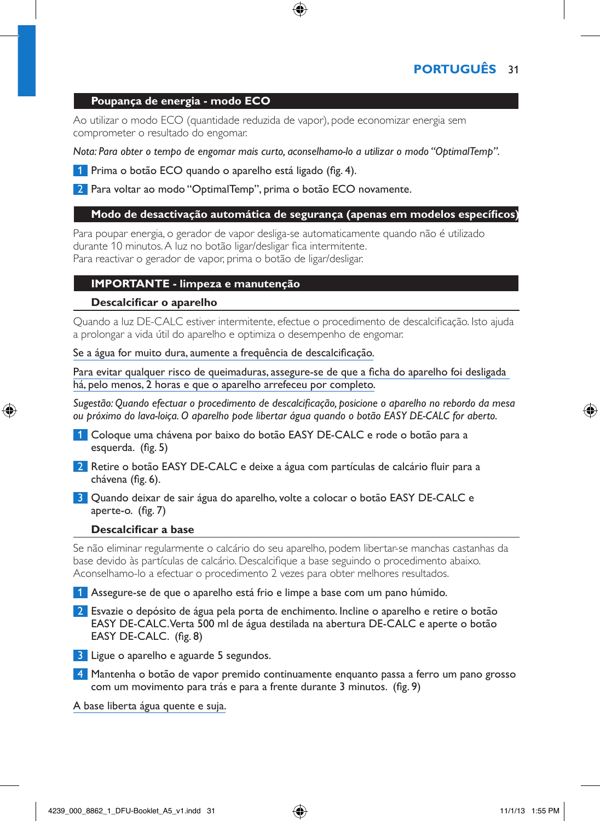#### **Poupança de energia - modo ECO**

Ao utilizar o modo ECO (quantidade reduzida de vapor), pode economizar energia sem comprometer o resultado do engomar.

*Nota: Para obter o tempo de engomar mais curto, aconselhamo-lo a utilizar o modo "OptimalTemp".*

1 Prima o botão ECO quando o aparelho está ligado (fig. 4).

2 Para voltar ao modo "OptimalTemp", prima o botão ECO novamente.

#### **Modo de desactivação automática de segurança (apenas em modelos especíicos)**

Para poupar energia, o gerador de vapor desliga-se automaticamente quando não é utilizado durante 10 minutos. A luz no botão ligar/desligar fica intermitente. Para reactivar o gerador de vapor, prima o botão de ligar/desligar.

#### **IMPORTANTE - limpeza e manutenção**

#### **Descalciicar o aparelho**

Quando a luz DE-CALC estiver intermitente, efectue o procedimento de descalciicação. Isto ajuda a prolongar a vida útil do aparelho e optimiza o desempenho de engomar.

Se a água for muito dura, aumente a frequência de descalcificação.

Para evitar qualquer risco de queimaduras, assegure-se de que a ficha do aparelho foi desligada há, pelo menos, 2 horas e que o aparelho arrefeceu por completo.

*Sugestão: Quando efectuar o procedimento de descalciicação, posicione o aparelho no rebordo da mesa ou próximo do lava-loiça. O aparelho pode libertar água quando o botão EASY DE-CALC for aberto.*

- 1 Coloque uma chávena por baixo do botão EASY DE-CALC e rode o botão para a esquerda. (fig. 5)
- 2 Retire o botão EASY DE-CALC e deixe a água com partículas de calcário fluir para a chávena (fig. 6).
- 3 Quando deixar de sair água do aparelho, volte a colocar o botão EASY DE-CALC e aperte-o.  $(fig. 7)$

#### **Descalciicar a base**

◈

Se não eliminar regularmente o calcário do seu aparelho, podem libertar-se manchas castanhas da base devido às partículas de calcário. Descalciique a base seguindo o procedimento abaixo. Aconselhamo-lo a efectuar o procedimento 2 vezes para obter melhores resultados.

1 Assegure-se de que o aparelho está frio e limpe a base com um pano húmido.

- 2 Esvazie o depósito de água pela porta de enchimento. Incline o aparelho e retire o botão EASY DE-CALC. Verta 500 ml de água destilada na abertura DE-CALC e aperte o botão EASY DE-CALC. (fig. 8)
- **3** Ligue o aparelho e aguarde 5 segundos.
- 4 Mantenha o botão de vapor premido continuamente enquanto passa a ferro um pano grosso com um movimento para trás e para a frente durante 3 minutos. (fig. 9)

A base liberta água quente e suja.

4239\_000\_8862\_1\_DFU-Booklet\_A5\_v1.indd 31 11/1/13 1:55 PM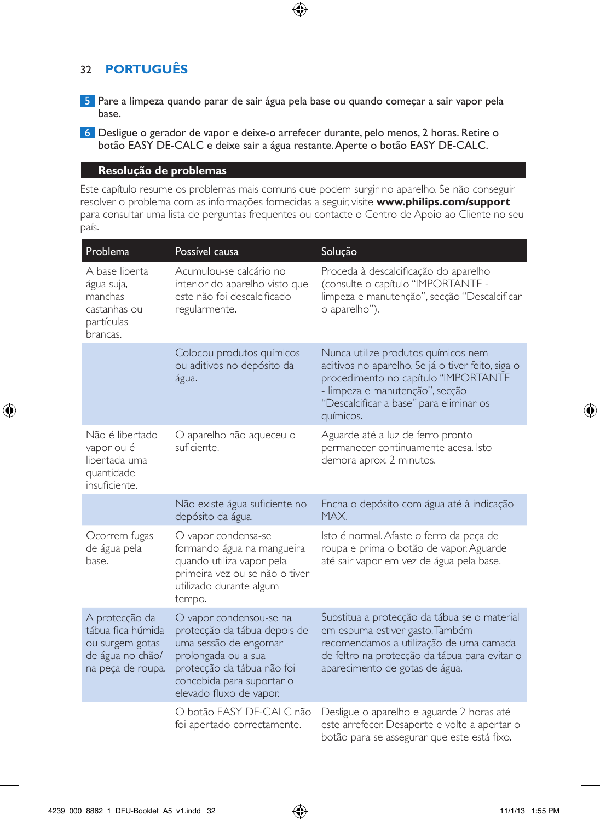⊕

 5 Pare a limpeza quando parar de sair água pela base ou quando começar a sair vapor pela base.

 $\bigoplus$ 

 6 Desligue o gerador de vapor e deixe-o arrefecer durante, pelo menos, 2 horas. Retire o botão EASY DE-CALC e deixe sair a água restante. Aperte o botão EASY DE-CALC.

## **Resolução de problemas**

Este capítulo resume os problemas mais comuns que podem surgir no aparelho. Se não conseguir resolver o problema com as informações fornecidas a seguir, visite **www.philips.com/support** para consultar uma lista de perguntas frequentes ou contacte o Centro de Apoio ao Cliente no seu país.

| Problema                                                                                        | Possível causa                                                                                                                                                                                | Solução                                                                                                                                                                                                                     |
|-------------------------------------------------------------------------------------------------|-----------------------------------------------------------------------------------------------------------------------------------------------------------------------------------------------|-----------------------------------------------------------------------------------------------------------------------------------------------------------------------------------------------------------------------------|
| A base liberta<br>água suja,<br>manchas<br>castanhas ou<br>partículas<br>brancas.               | Acumulou-se calcário no<br>interior do aparelho visto que<br>este não foi descalcificado<br>regularmente.                                                                                     | Proceda à descalcificação do aparelho<br>(consulte o capítulo "IMPORTANTE -<br>limpeza e manutenção", secção "Descalcificar<br>o aparelho").                                                                                |
|                                                                                                 | Colocou produtos químicos<br>ou aditivos no depósito da<br>água.                                                                                                                              | Nunca utilize produtos químicos nem<br>aditivos no aparelho. Se já o tiver feito, siga o<br>procedimento no capítulo "IMPORTANTE<br>- limpeza e manutenção", secção<br>"Descalcificar a base" para eliminar os<br>químicos. |
| Não é libertado<br>vapor ou é<br>libertada uma<br>quantidade<br>insuficiente.                   | O aparelho não aqueceu o<br>suficiente.                                                                                                                                                       | Aguarde até a luz de ferro pronto<br>permanecer continuamente acesa. Isto<br>demora aprox. 2 minutos.                                                                                                                       |
|                                                                                                 | Não existe água suficiente no<br>depósito da água.                                                                                                                                            | Encha o depósito com água até à indicação<br>MAX.                                                                                                                                                                           |
| Ocorrem fugas<br>de água pela<br>base.                                                          | O vapor condensa-se<br>formando água na mangueira<br>quando utiliza vapor pela<br>primeira vez ou se não o tiver<br>utilizado durante algum<br>tempo.                                         | Isto é normal. Afaste o ferro da peça de<br>roupa e prima o botão de vapor. Aguarde<br>até sair vapor em vez de água pela base.                                                                                             |
| A protecção da<br>tábua fica húmida<br>ou surgem gotas<br>de água no chão/<br>na peça de roupa. | O vapor condensou-se na<br>protecção da tábua depois de<br>uma sessão de engomar<br>prolongada ou a sua<br>protecção da tábua não foi<br>concebida para suportar o<br>elevado fluxo de vapor. | Substitua a protecção da tábua se o material<br>em espuma estiver gasto. Também<br>recomendamos a utilização de uma camada<br>de feltro na protecção da tábua para evitar o<br>aparecimento de gotas de água.               |
|                                                                                                 | O botão EASY DE-CALC não<br>foi apertado correctamente.                                                                                                                                       | Desligue o aparelho e aguarde 2 horas até<br>este arrefecer. Desaperte e volte a apertar o<br>botão para se assegurar que este está fixo.                                                                                   |

⊕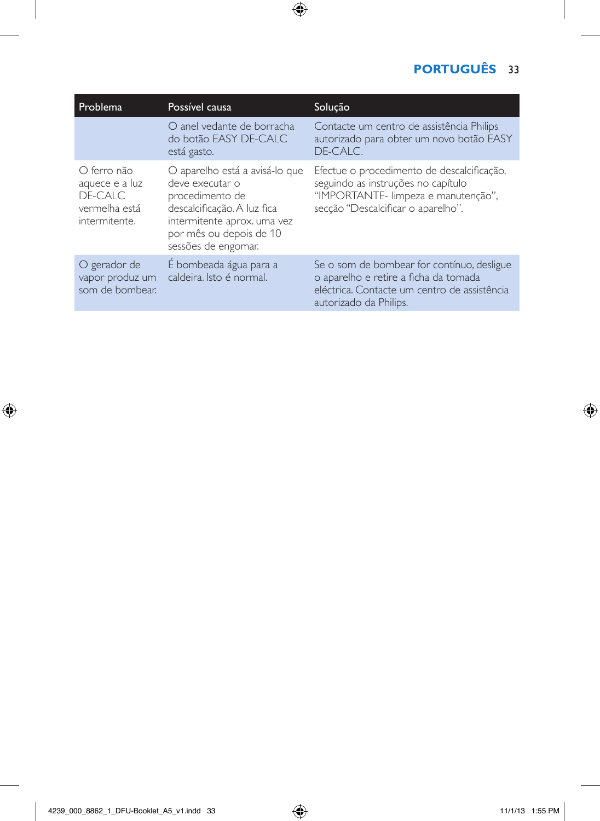$\mathbf{I}$ 

 $\bigoplus$ 

| Problema                                                                   | Possível causa                                                                                                                                                                       | Solução                                                                                                                                                       |
|----------------------------------------------------------------------------|--------------------------------------------------------------------------------------------------------------------------------------------------------------------------------------|---------------------------------------------------------------------------------------------------------------------------------------------------------------|
|                                                                            | O anel vedante de borracha<br>do botão EASY DE-CALC<br>está gasto.                                                                                                                   | Contacte um centro de assistência Philips<br>autorizado para obter um novo botão EASY<br>DE-CALC.                                                             |
| O ferro não<br>aquece e a luz<br>DE-CALC<br>vermelha está<br>intermitente. | O aparelho está a avisá-lo que<br>deve executar o<br>procedimento de<br>descalcificação. A luz fica<br>intermitente aprox, uma vez<br>por mês ou depois de 10<br>sessões de engomar. | Efectue o procedimento de descalcificação,<br>seguindo as instruções no capítulo<br>"IMPORTANTE- limpeza e manutenção",<br>secção "Descalcificar o aparelho". |
| O gerador de<br>vapor produz um<br>som de bombear.                         | E bombeada água para a<br>caldeira. Isto é normal.                                                                                                                                   | Se o som de bombear for contínuo, desligue<br>o aparelho e retire a ficha da tomada<br>eléctrica. Contacte um centro de assistência<br>autorizado da Philips. |

 $\bigoplus$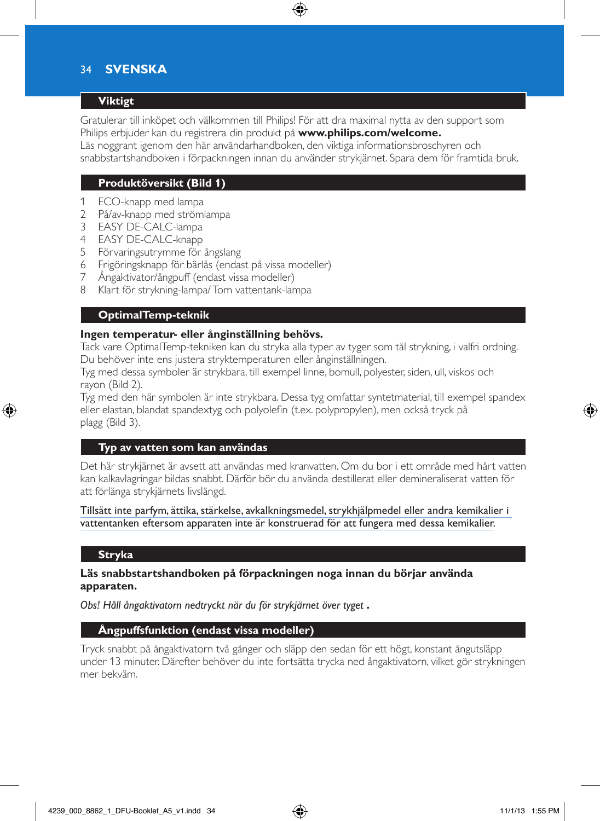#### 34 **SVENSKA**

#### **Viktigt**

Gratulerar till inköpet och välkommen till Philips! För att dra maximal nytta av den support som Philips erbjuder kan du registrera din produkt på **www.philips.com/welcome.** Läs noggrant igenom den här användarhandboken, den viktiga informationsbroschyren och snabbstartshandboken i förpackningen innan du använder strykjärnet. Spara dem för framtida bruk.

⊕

#### **Produktöversikt (Bild 1)**

- 1 ECO-knapp med lampa
- 2 På/av-knapp med strömlampa
- 3 EASY DE-CALC-lampa
- 4 EASY DE-CALC-knapp
- 5 Förvaringsutrymme för ångslang
- 6 Frigöringsknapp för bärlås (endast på vissa modeller)
- 7 Ångaktivator/ångpuff (endast vissa modeller)
- 8 Klart för strykning-lampa/ Tom vattentank-lampa

#### **OptimalTemp-teknik**

#### **Ingen temperatur- eller ånginställning behövs.**

Tack vare OptimalTemp-tekniken kan du stryka alla typer av tyger som tål strykning, i valfri ordning. Du behöver inte ens justera stryktemperaturen eller ånginställningen.

Tyg med dessa symboler är strykbara, till exempel linne, bomull, polyester, siden, ull, viskos och rayon (Bild 2).

Tyg med den här symbolen är inte strykbara. Dessa tyg omfattar syntetmaterial, till exempel spandex eller elastan, blandat spandextyg och polyolein (t.ex. polypropylen), men också tryck på plagg (Bild 3).

#### **Typ av vatten som kan användas**

Det här strykjärnet är avsett att användas med kranvatten. Om du bor i ett område med hårt vatten kan kalkavlagringar bildas snabbt. Därför bör du använda destillerat eller demineraliserat vatten för att förlänga strykjärnets livslängd.

Tillsätt inte parfym, ättika, stärkelse, avkalkningsmedel, strykhjälpmedel eller andra kemikalier i vattentanken eftersom apparaten inte är konstruerad för att fungera med dessa kemikalier.

#### **Stryka**

#### **Läs snabbstartshandboken på förpackningen noga innan du börjar använda apparaten.**

*Obs! Håll ångaktivatorn nedtryckt när du för strykjärnet över tyget* **.**

#### **Ångpuffsfunktion (endast vissa modeller)**

Tryck snabbt på ångaktivatorn två gånger och släpp den sedan för ett högt, konstant ångutsläpp under 13 minuter. Därefter behöver du inte fortsätta trycka ned ångaktivatorn, vilket gör strykningen mer bekväm.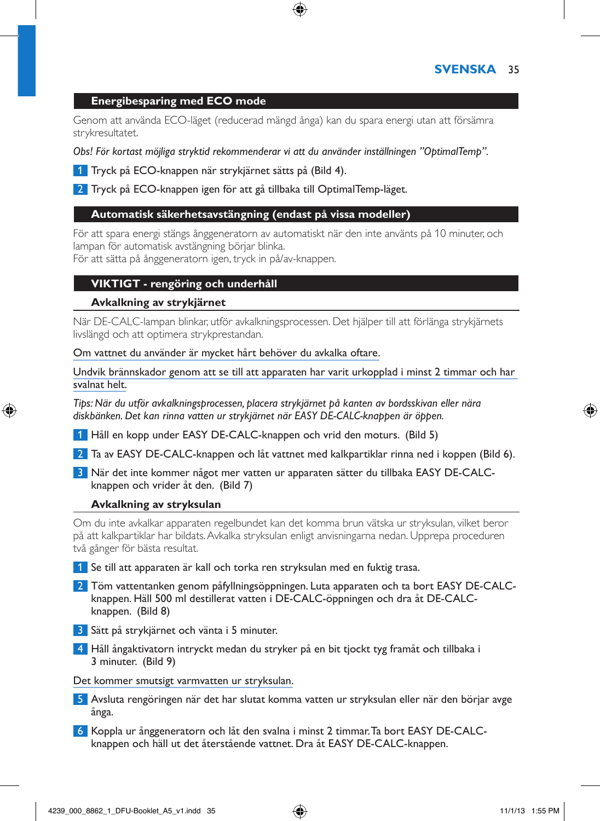## **SVENSKA** 35

#### **Energibesparing med ECO mode**

Genom att använda ECO-läget (reducerad mängd ånga) kan du spara energi utan att försämra strykresultatet.

*Obs! För kortast möjliga stryktid rekommenderar vi att du använder inställningen "OptimalTemp".*

1 Tryck på ECO-knappen när strykjärnet sätts på (Bild 4).

**2 Tryck på ECO-knappen igen för att gå tillbaka till OptimalTemp-läget.** 

#### **Automatisk säkerhetsavstängning (endast på vissa modeller)**

För att spara energi stängs ånggeneratorn av automatiskt när den inte använts på 10 minuter, och lampan för automatisk avstängning börjar blinka.

För att sätta på ånggeneratorn igen, tryck in på/av-knappen.

#### **VIKTIGT - rengöring och underhåll**

#### **Avkalkning av strykjärnet**

När DE-CALC-lampan blinkar, utför avkalkningsprocessen. Det hjälper till att förlänga strykjärnets livslängd och att optimera strykprestandan.

Om vattnet du använder är mycket hårt behöver du avkalka oftare.

Undvik brännskador genom att se till att apparaten har varit urkopplad i minst 2 timmar och har svalnat helt.

*Tips: När du utför avkalkningsprocessen, placera strykjärnet på kanten av bordsskivan eller nära diskbänken. Det kan rinna vatten ur strykjärnet när EASY DE-CALC-knappen är öppen.*

1 Håll en kopp under EASY DE-CALC-knappen och vrid den moturs. (Bild 5)

2 Ta av EASY DE-CALC-knappen och låt vattnet med kalkpartiklar rinna ned i koppen (Bild 6).

 3 När det inte kommer något mer vatten ur apparaten sätter du tillbaka EASY DE-CALCknappen och vrider åt den. (Bild 7)

#### **Avkalkning av stryksulan**

◈

Om du inte avkalkar apparaten regelbundet kan det komma brun vätska ur stryksulan, vilket beror på att kalkpartiklar har bildats. Avkalka stryksulan enligt anvisningarna nedan. Upprepa proceduren två gånger för bästa resultat.

1 Se till att apparaten är kall och torka ren stryksulan med en fuktig trasa.

- 2 Töm vattentanken genom påfyllningsöppningen. Luta apparaten och ta bort EASY DE-CALCknappen. Häll 500 ml destillerat vatten i DE-CALC-öppningen och dra åt DE-CALCknappen. (Bild 8)
- **3** Sätt på strykjärnet och vänta i 5 minuter.
- 4 Håll ångaktivatorn intryckt medan du stryker på en bit tjockt tyg framåt och tillbaka i 3 minuter. (Bild 9)

Det kommer smutsigt varmvatten ur stryksulan.

- 5 Avsluta rengöringen när det har slutat komma vatten ur stryksulan eller när den börjar avge ånga.
- 6 Koppla ur ånggeneratorn och låt den svalna i minst 2 timmar. Ta bort EASY DE-CALCknappen och häll ut det återstående vattnet. Dra åt EASY DE-CALC-knappen.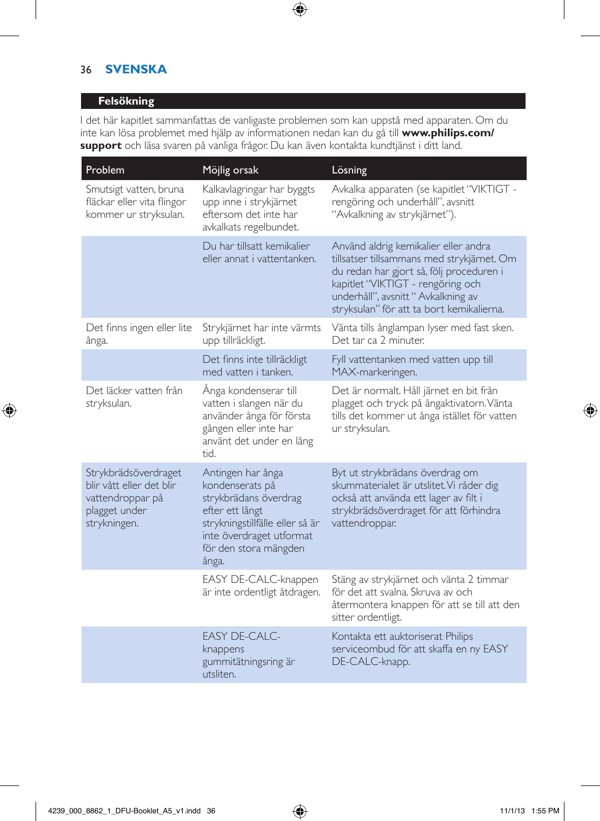## 36 **SVENSKA**

## **Felsökning**

 $\bigoplus$ 

I det här kapitlet sammanfattas de vanligaste problemen som kan uppstå med apparaten. Om du inte kan lösa problemet med hjälp av informationen nedan kan du gå till **www.philips.com/ support** och läsa svaren på vanliga frågor. Du kan även kontakta kundtjänst i ditt land.

 $\bigoplus$ 

| Problem                                                                                               | Möjlig orsak                                                                                                                                                                      | Lösning                                                                                                                                                                                                                                                 |
|-------------------------------------------------------------------------------------------------------|-----------------------------------------------------------------------------------------------------------------------------------------------------------------------------------|---------------------------------------------------------------------------------------------------------------------------------------------------------------------------------------------------------------------------------------------------------|
| Smutsigt vatten, bruna<br>fläckar eller vita flingor<br>kommer ur stryksulan.                         | Kalkavlagringar har byggts<br>upp inne i strykjärnet<br>eftersom det inte har<br>avkalkats regelbundet.                                                                           | Avkalka apparaten (se kapitlet "VIKTIGT -<br>rengöring och underhåll", avsnitt<br>"Avkalkning av strykjärnet").                                                                                                                                         |
|                                                                                                       | Du har tillsatt kemikalier<br>eller annat i vattentanken.                                                                                                                         | Använd aldrig kemikalier eller andra<br>tillsatser tillsammans med strykjärnet. Om<br>du redan har gjort så, följ proceduren i<br>kapitlet "VIKTIGT - rengöring och<br>underhåll", avsnitt " Avkalkning av<br>stryksulan" för att ta bort kemikalierna. |
| Det finns ingen eller lite<br>ånga.                                                                   | Strykjärnet har inte värmts<br>upp tillräckligt.                                                                                                                                  | Vänta tills ånglampan lyser med fast sken.<br>Det tar ca 2 minuter.                                                                                                                                                                                     |
|                                                                                                       | Det finns inte tillräckligt<br>med vatten i tanken.                                                                                                                               | Fyll vattentanken med vatten upp till<br>MAX-markeringen.                                                                                                                                                                                               |
| Det läcker vatten från<br>stryksulan.                                                                 | Anga kondenserar till<br>vatten i slangen när du<br>använder ånga för första<br>gången eller inte har<br>använt det under en lång<br>tid.                                         | Det är normalt. Håll järnet en bit från<br>plagget och tryck på ångaktivatorn. Vänta<br>tills det kommer ut ånga istället för vatten<br>ur stryksulan.                                                                                                  |
| Strykbrädsöverdraget<br>blir vått eller det blir<br>vattendroppar på<br>plagget under<br>strykningen. | Antingen har ånga<br>kondenserats på<br>strykbrädans överdrag<br>efter ett långt<br>strykningstillfälle eller så är<br>inte överdraget utformat<br>för den stora mängden<br>ånga. | Byt ut strykbrädans överdrag om<br>skummaterialet är utslitet. Vi råder dig<br>också att använda ett lager av filt i<br>strykbrädsöverdraget för att förhindra<br>vattendroppar.                                                                        |
|                                                                                                       | EASY DE-CALC-knappen<br>är inte ordentligt åtdragen.                                                                                                                              | Stäng av strykjärnet och vänta 2 timmar<br>för det att svalna. Skruva av och<br>återmontera knappen för att se till att den<br>sitter ordentligt.                                                                                                       |
|                                                                                                       | <b>EASY DE-CALC-</b><br>knappens<br>gummitätningsring är<br>utsliten.                                                                                                             | Kontakta ett auktoriserat Philips<br>serviceombud för att skaffa en ny EASY<br>DE-CALC-knapp.                                                                                                                                                           |

 $\bigcirc$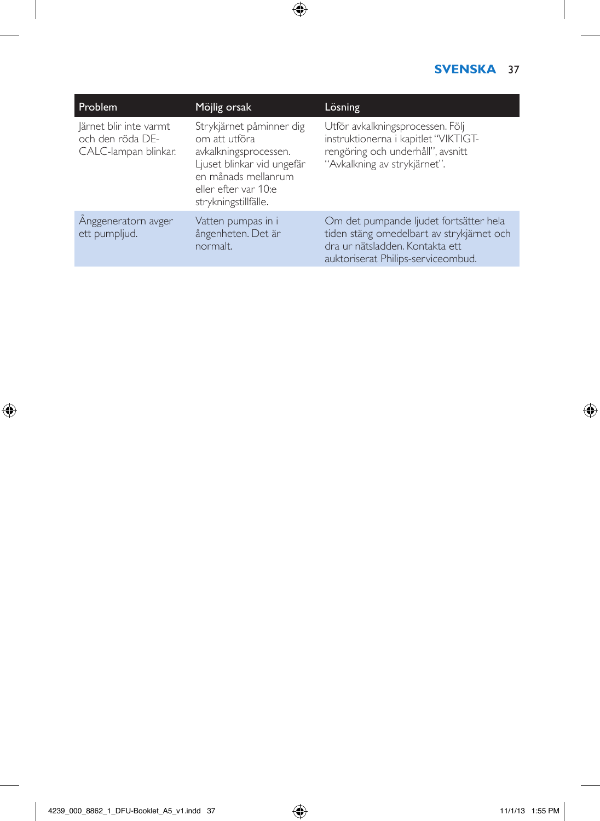## $\bigoplus$

## **SVENSKA** 37

| Problem                                                            | Möjlig orsak                                                                                                                                                            | Lösning                                                                                                                                                      |
|--------------------------------------------------------------------|-------------------------------------------------------------------------------------------------------------------------------------------------------------------------|--------------------------------------------------------------------------------------------------------------------------------------------------------------|
| Järnet blir inte varmt<br>och den röda DE-<br>CALC-lampan blinkar. | Strykjärnet påminner dig<br>om att utföra<br>avkalkningsprocessen.<br>Ljuset blinkar vid ungefär<br>en månads mellanrum<br>eller efter var 10:e<br>strykningstillfälle. | Utför avkalkningsprocessen. Följ<br>instruktionerna i kapitlet "VIKTIGT-<br>rengöring och underhåll", avsnitt<br>"Avkalkning av strykjärnet".                |
| Anggeneratorn avger<br>ett pumpljud.                               | Vatten pumpas in i<br>ångenheten. Det är<br>normalt.                                                                                                                    | Om det pumpande ljudet fortsätter hela<br>tiden stäng omedelbart av strykjärnet och<br>dra ur nätsladden. Kontakta ett<br>auktoriserat Philips-serviceombud. |

 $\bigoplus$ 

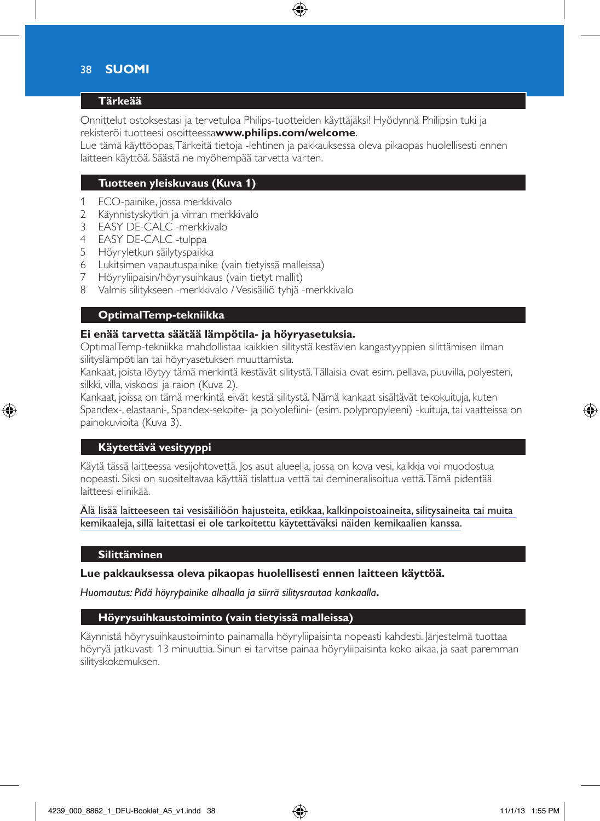#### **Tärkeää**

Onnittelut ostoksestasi ja tervetuloa Philips-tuotteiden käyttäjäksi! Hyödynnä Philipsin tuki ja rekisteröi tuotteesi osoitteessa**www.philips.com/welcome**.

Lue tämä käyttöopas, Tärkeitä tietoja -lehtinen ja pakkauksessa oleva pikaopas huolellisesti ennen laitteen käyttöä. Säästä ne myöhempää tarvetta varten.

⊕

#### **Tuotteen yleiskuvaus (Kuva 1)**

- ECO-painike, jossa merkkivalo
- 2 Käynnistyskytkin ja virran merkkivalo
- 3 EASY DE-CALC -merkkivalo
- 4 EASY DE-CALC -tulppa
- 5 Höyryletkun säilytyspaikka
- 6 Lukitsimen vapautuspainike (vain tietyissä malleissa)
- 7 Höyryliipaisin/höyrysuihkaus (vain tietyt mallit)
- 8 Valmis silitykseen -merkkivalo / Vesisäiliö tyhjä -merkkivalo

#### **OptimalTemp-tekniikka**

#### **Ei enää tarvetta säätää lämpötila- ja höyryasetuksia.**

OptimalTemp-tekniikka mahdollistaa kaikkien silitystä kestävien kangastyyppien silittämisen ilman silityslämpötilan tai höyryasetuksen muuttamista.

Kankaat, joista löytyy tämä merkintä kestävät silitystä. Tällaisia ovat esim. pellava, puuvilla, polyesteri, silkki, villa, viskoosi ja raion (Kuva 2).

Kankaat, joissa on tämä merkintä eivät kestä silitystä. Nämä kankaat sisältävät tekokuituja, kuten Spandex-, elastaani-, Spandex-sekoite- ja polyolefiini- (esim. polypropyleeni) -kuituja, tai vaatteissa on painokuvioita (Kuva 3).

#### **Käytettävä vesityyppi**

Käytä tässä laitteessa vesijohtovettä. Jos asut alueella, jossa on kova vesi, kalkkia voi muodostua nopeasti. Siksi on suositeltavaa käyttää tislattua vettä tai demineralisoitua vettä. Tämä pidentää laitteesi elinikää.

Älä lisää laitteeseen tai vesisäiliöön hajusteita, etikkaa, kalkinpoistoaineita, silitysaineita tai muita kemikaaleja, sillä laitettasi ei ole tarkoitettu käytettäväksi näiden kemikaalien kanssa.

#### **Silittäminen**

◈

**Lue pakkauksessa oleva pikaopas huolellisesti ennen laitteen käyttöä.**

*Huomautus: Pidä höyrypainike alhaalla ja siirrä silitysrautaa kankaalla***.**

#### **Höyrysuihkaustoiminto (vain tietyissä malleissa)**

Käynnistä höyrysuihkaustoiminto painamalla höyryliipaisinta nopeasti kahdesti. Järjestelmä tuottaa höyryä jatkuvasti 13 minuuttia. Sinun ei tarvitse painaa höyryliipaisinta koko aikaa, ja saat paremman silityskokemuksen.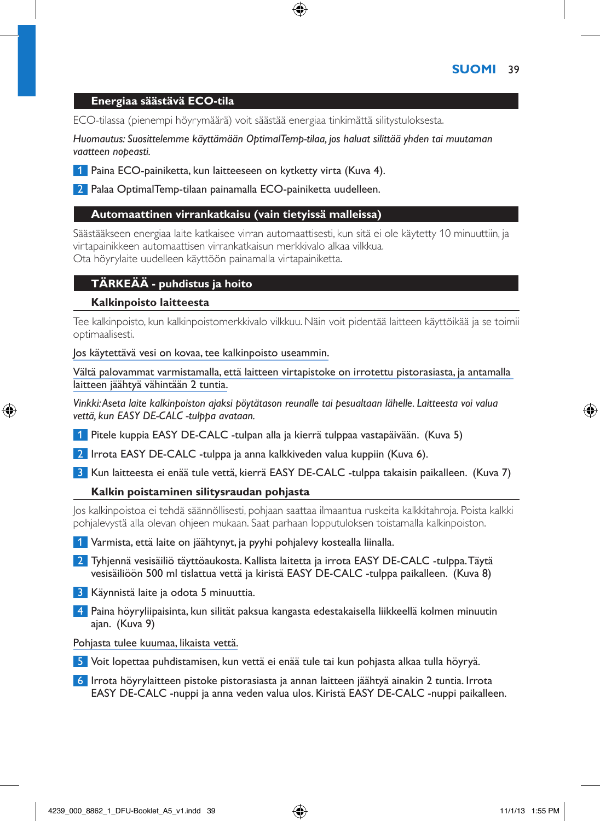#### **Energiaa säästävä ECO-tila**

ECO-tilassa (pienempi höyrymäärä) voit säästää energiaa tinkimättä silitystuloksesta.

*Huomautus: Suosittelemme käyttämään OptimalTemp-tilaa, jos haluat silittää yhden tai muutaman vaatteen nopeasti.*

⊕

1 Paina ECO-painiketta, kun laitteeseen on kytketty virta (Kuva 4).

**2 Palaa OptimalTemp-tilaan painamalla ECO-painiketta uudelleen.** 

#### **Automaattinen virrankatkaisu (vain tietyissä malleissa)**

Säästääkseen energiaa laite katkaisee virran automaattisesti, kun sitä ei ole käytetty 10 minuuttiin, ja virtapainikkeen automaattisen virrankatkaisun merkkivalo alkaa vilkkua. Ota höyrylaite uudelleen käyttöön painamalla virtapainiketta.

#### **TÄRKEÄÄ - puhdistus ja hoito**

#### **Kalkinpoisto laitteesta**

◈

Tee kalkinpoisto, kun kalkinpoistomerkkivalo vilkkuu. Näin voit pidentää laitteen käyttöikää ja se toimii optimaalisesti.

Jos käytettävä vesi on kovaa, tee kalkinpoisto useammin.

Vältä palovammat varmistamalla, että laitteen virtapistoke on irrotettu pistorasiasta, ja antamalla laitteen jäähtyä vähintään 2 tuntia.

*Vinkki: Aseta laite kalkinpoiston ajaksi pöytätason reunalle tai pesualtaan lähelle. Laitteesta voi valua vettä, kun EASY DE-CALC -tulppa avataan.*

1 Pitele kuppia EASY DE-CALC -tulpan alla ja kierrä tulppaa vastapäivään. (Kuva 5)

2 Irrota EASY DE-CALC -tulppa ja anna kalkkiveden valua kuppiin (Kuva 6).

3 Kun laitteesta ei enää tule vettä, kierrä EASY DE-CALC -tulppa takaisin paikalleen. (Kuva 7)

#### **Kalkin poistaminen silitysraudan pohjasta**

Jos kalkinpoistoa ei tehdä säännöllisesti, pohjaan saattaa ilmaantua ruskeita kalkkitahroja. Poista kalkki pohjalevystä alla olevan ohjeen mukaan. Saat parhaan lopputuloksen toistamalla kalkinpoiston.

1 Varmista, että laite on jäähtynyt, ja pyyhi pohjalevy kostealla liinalla.

 2 Tyhjennä vesisäiliö täyttöaukosta. Kallista laitetta ja irrota EASY DE-CALC -tulppa. Täytä vesisäiliöön 500 ml tislattua vettä ja kiristä EASY DE-CALC -tulppa paikalleen. (Kuva 8)

3 Käynnistä laite ja odota 5 minuuttia.

 4 Paina höyryliipaisinta, kun silität paksua kangasta edestakaisella liikkeellä kolmen minuutin ajan. (Kuva 9)

#### Pohjasta tulee kuumaa, likaista vettä.

5 Voit lopettaa puhdistamisen, kun vettä ei enää tule tai kun pohjasta alkaa tulla höyryä.

 6 Irrota höyrylaitteen pistoke pistorasiasta ja annan laitteen jäähtyä ainakin 2 tuntia. Irrota EASY DE-CALC -nuppi ja anna veden valua ulos. Kiristä EASY DE-CALC -nuppi paikalleen.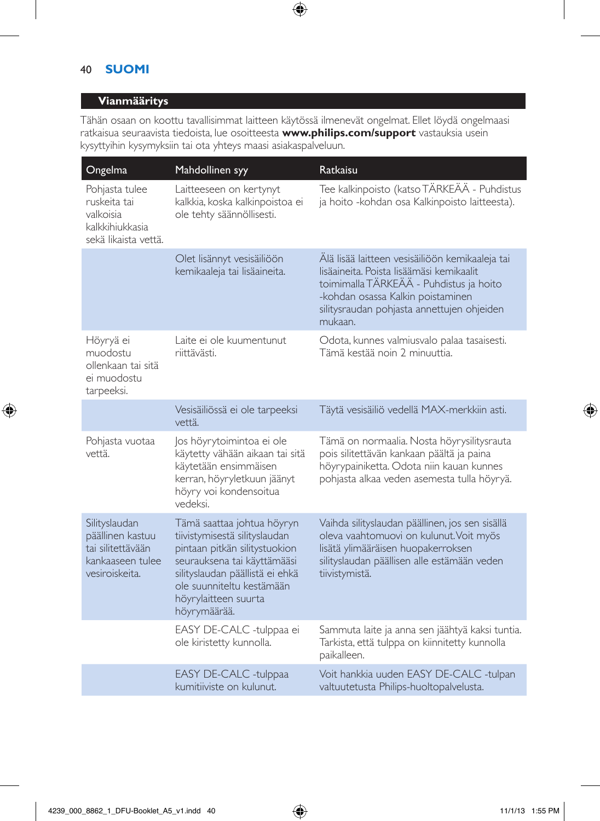$\bigoplus$ 

## **Vianmääritys**

Tähän osaan on koottu tavallisimmat laitteen käytössä ilmenevät ongelmat. Ellet löydä ongelmaasi ratkaisua seuraavista tiedoista, lue osoitteesta **www.philips.com/support** vastauksia usein kysyttyihin kysymyksiin tai ota yhteys maasi asiakaspalveluun.

 $\bigoplus$ 

| Ongelma                                                                                      | Mahdollinen syy                                                                                                                                                                                                                     | Ratkaisu                                                                                                                                                                                                                             |
|----------------------------------------------------------------------------------------------|-------------------------------------------------------------------------------------------------------------------------------------------------------------------------------------------------------------------------------------|--------------------------------------------------------------------------------------------------------------------------------------------------------------------------------------------------------------------------------------|
| Pohjasta tulee<br>ruskeita tai<br>valkoisia<br>kalkkihiukkasia<br>sekä likaista vettä.       | Laitteeseen on kertynyt<br>kalkkia, koska kalkinpoistoa ei<br>ole tehty säännöllisesti.                                                                                                                                             | Tee kalkinpoisto (katso TÄRKEÄÄ - Puhdistus<br>ja hoito -kohdan osa Kalkinpoisto laitteesta).                                                                                                                                        |
|                                                                                              | Olet lisännyt vesisäiliöön<br>kemikaaleja tai lisäaineita.                                                                                                                                                                          | Älä lisää laitteen vesisäiliöön kemikaaleja tai<br>lisäaineita. Poista lisäämäsi kemikaalit<br>toimimalla TÄRKEÄÄ - Puhdistus ja hoito<br>-kohdan osassa Kalkin poistaminen<br>silitysraudan pohjasta annettujen ohjeiden<br>mukaan. |
| Höyryä ei<br>muodostu<br>ollenkaan tai sitä<br>ei muodostu<br>tarpeeksi.                     | Laite ei ole kuumentunut<br>riittävästi.                                                                                                                                                                                            | Odota, kunnes valmiusvalo palaa tasaisesti.<br>Tämä kestää noin 2 minuuttia.                                                                                                                                                         |
|                                                                                              | Vesisäiliössä ei ole tarpeeksi<br>vettä.                                                                                                                                                                                            | Täytä vesisäiliö vedellä MAX-merkkiin asti.                                                                                                                                                                                          |
| Pohjasta vuotaa<br>vettä.                                                                    | Jos höyrytoimintoa ei ole<br>käytetty vähään aikaan tai sitä<br>käytetään ensimmäisen<br>kerran, höyryletkuun jäänyt<br>höyry voi kondensoitua<br>vedeksi.                                                                          | Tämä on normaalia. Nosta höyrysilitysrauta<br>pois silitettävän kankaan päältä ja paina<br>höyrypainiketta. Odota niin kauan kunnes<br>pohjasta alkaa veden asemesta tulla höyryä.                                                   |
| Silityslaudan<br>päällinen kastuu<br>tai silitettävään<br>kankaaseen tulee<br>vesiroiskeita. | Tämä saattaa johtua höyryn<br>tiivistymisestä silityslaudan<br>pintaan pitkän silitystuokion<br>seurauksena tai käyttämääsi<br>silityslaudan päällistä ei ehkä<br>ole suunniteltu kestämään<br>höyrylaitteen suurta<br>höyrymäärää. | Vaihda silityslaudan päällinen, jos sen sisällä<br>oleva vaahtomuovi on kulunut. Voit myös<br>lisätä ylimääräisen huopakerroksen<br>silityslaudan päällisen alle estämään veden<br>tiivistymistä.                                    |
|                                                                                              | EASY DE-CALC -tulppaa ei<br>ole kiristetty kunnolla.                                                                                                                                                                                | Sammuta laite ja anna sen jäähtyä kaksi tuntia.<br>Tarkista, että tulppa on kiinnitetty kunnolla<br>paikalleen.                                                                                                                      |
|                                                                                              | EASY DE-CALC -tulppaa<br>kumitiiviste on kulunut.                                                                                                                                                                                   | Voit hankkia uuden EASY DE-CALC -tulpan<br>valtuutetusta Philips-huoltopalvelusta.                                                                                                                                                   |

 $\bigcirc$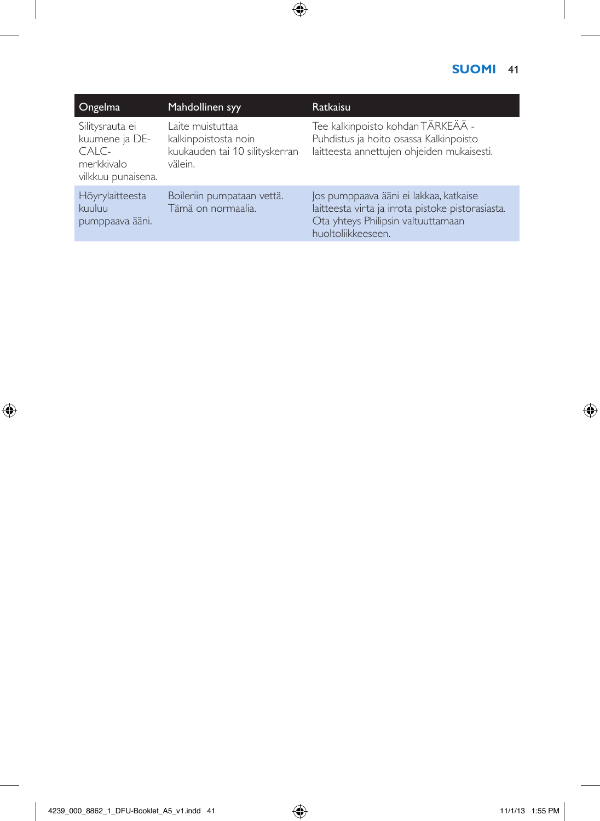$\mathbf{I}$ 

 $\bigoplus$ 

| Ongelma                                                                          | Mahdollinen syy                                                                       | Ratkaisu                                                                                                                                                |
|----------------------------------------------------------------------------------|---------------------------------------------------------------------------------------|---------------------------------------------------------------------------------------------------------------------------------------------------------|
| Silitysrauta ei<br>kuumene ja DE-<br>$CALC-$<br>merkkivalo<br>vilkkuu punaisena. | Laite muistuttaa<br>kalkinpoistosta noin<br>kuukauden tai 10 silityskerran<br>välein. | Tee kalkinpoisto kohdan TÄRKEÄÄ -<br>Puhdistus ja hoito osassa Kalkinpoisto<br>laitteesta annettujen ohjeiden mukaisesti.                               |
| Höyrylaitteesta<br>kuuluu<br>pumppaava ääni.                                     | Boileriin pumpataan vettä.<br>Tämä on normaalia.                                      | Jos pumppaava ääni ei lakkaa, katkaise<br>laitteesta virta ja irrota pistoke pistorasiasta.<br>Ota yhteys Philipsin valtuuttamaan<br>huoltoliikkeeseen. |

 $\bigoplus$ 

 $\overline{\phantom{a}}$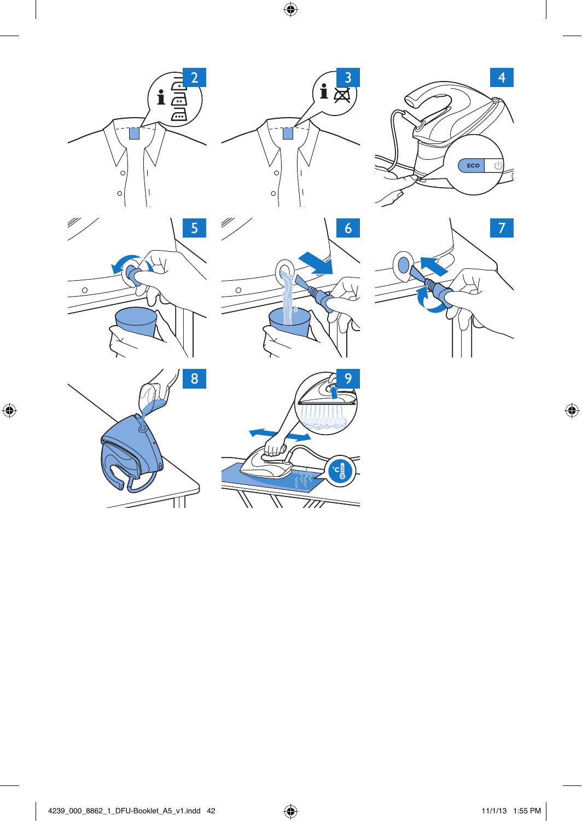





 $\bigoplus$ 









 $\bigoplus$ 

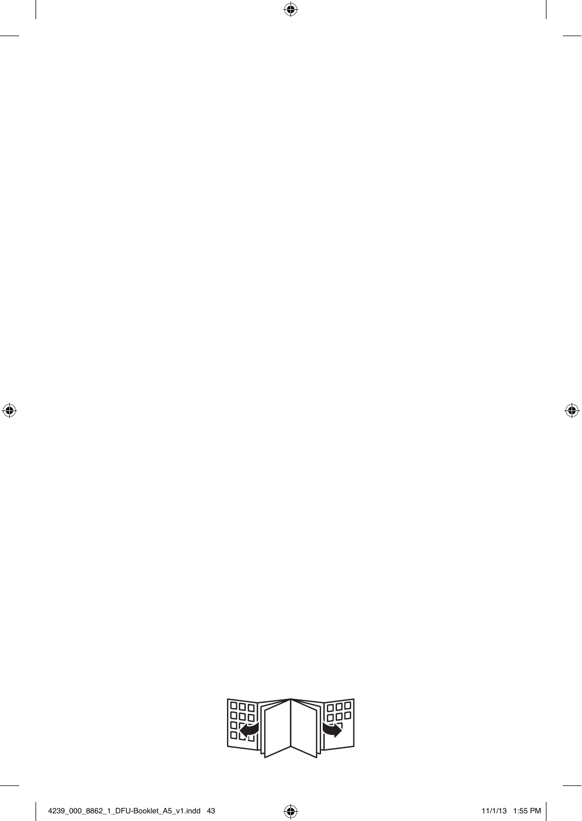

 $\bigoplus$ 

 $\overline{\phantom{a}}$ 

 $\bigoplus$ 

 $\overline{\phantom{a}}$